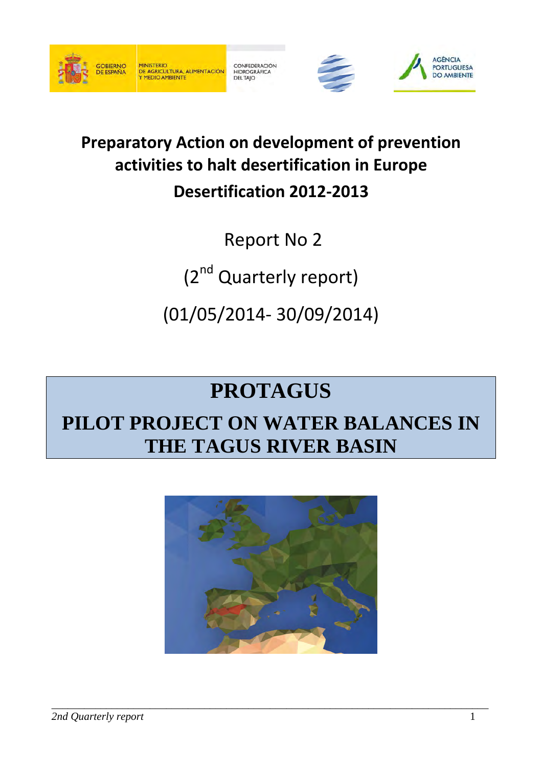

CONFEDERACIÓN HIDROGRÁFICA<br>DEL TAJO





# **Preparatory Action on development of prevention activities to halt desertification in Europe Desertification 2012-2013**

Report No 2

(2<sup>nd</sup> Quarterly report)

(01/05/2014- 30/09/2014)

# **PROTAGUS**

# **PILOT PROJECT ON WATER BALANCES IN THE TAGUS RIVER BASIN**

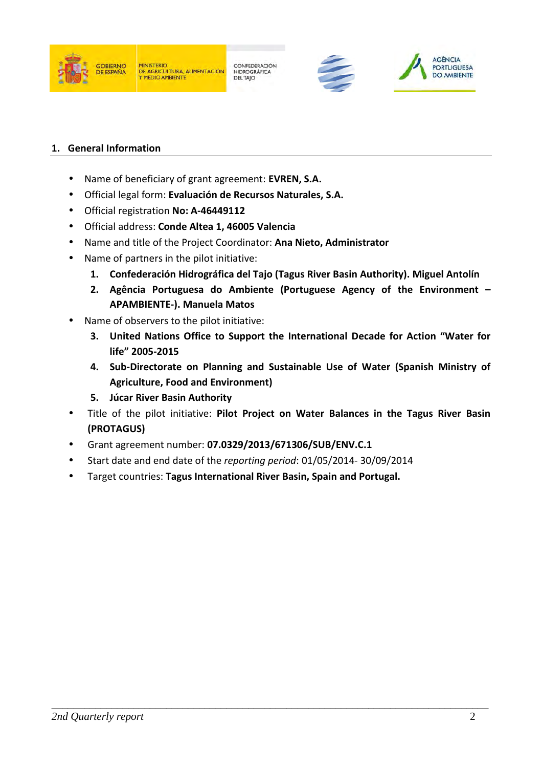





### **1. General Information**

- Name of beneficiary of grant agreement: **EVREN, S.A.**
- Official legal form: **Evaluación de Recursos Naturales, S.A.**
- Official registration **No: A-46449112**
- Official address: **Conde Altea 1, 46005 Valencia**
- Name and title of the Project Coordinator: **Ana Nieto, Administrator**
- Name of partners in the pilot initiative:
	- **1. Confederación Hidrográfica del Tajo (Tagus River Basin Authority). Miguel Antolín**
	- **2. Agência Portuguesa do Ambiente (Portuguese Agency of the Environment – APAMBIENTE-). Manuela Matos**
- Name of observers to the pilot initiative:
	- **3. United Nations Office to Support the International Decade for Action "Water for life" 2005-2015**
	- **4. Sub-Directorate on Planning and Sustainable Use of Water (Spanish Ministry of Agriculture, Food and Environment)**
	- **5. Júcar River Basin Authority**
- Title of the pilot initiative: **Pilot Project on Water Balances in the Tagus River Basin (PROTAGUS)**
- Grant agreement number: **07.0329/2013/671306/SUB/ENV.C.1**
- Start date and end date of the *reporting period*: 01/05/2014- 30/09/2014
- Target countries: **Tagus International River Basin, Spain and Portugal.**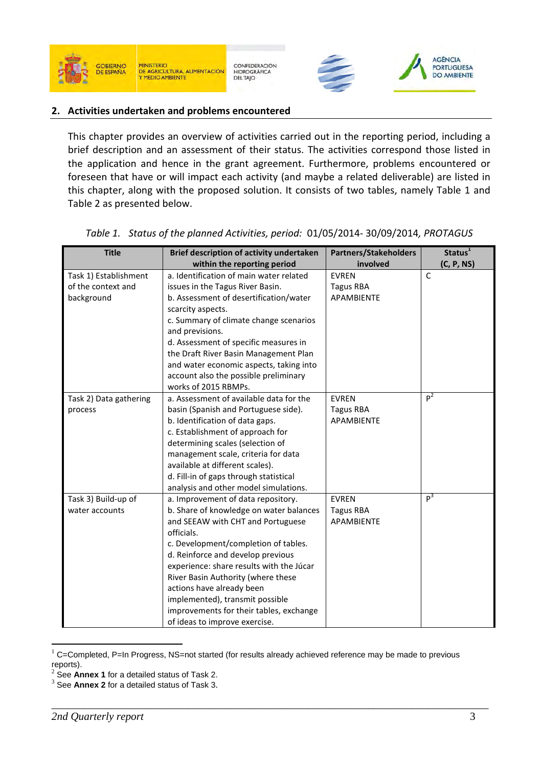





#### **2. Activities undertaken and problems encountered**

This chapter provides an overview of activities carried out in the reporting period, including a brief description and an assessment of their status. The activities correspond those listed in the application and hence in the grant agreement. Furthermore, problems encountered or foreseen that have or will impact each activity (and maybe a related deliverable) are listed in this chapter, along with the proposed solution. It consists of two tables, namely Table 1 and Table 2 as presented below.

| <b>Title</b>           | Brief description of activity undertaken | <b>Partners/Stakeholders</b> | Status <sup>1</sup> |
|------------------------|------------------------------------------|------------------------------|---------------------|
|                        | within the reporting period              | involved                     | (C, P, NS)          |
| Task 1) Establishment  | a. Identification of main water related  | <b>EVREN</b>                 | C                   |
| of the context and     | issues in the Tagus River Basin.         | <b>Tagus RBA</b>             |                     |
| background             | b. Assessment of desertification/water   | <b>APAMBIENTE</b>            |                     |
|                        | scarcity aspects.                        |                              |                     |
|                        | c. Summary of climate change scenarios   |                              |                     |
|                        | and previsions.                          |                              |                     |
|                        | d. Assessment of specific measures in    |                              |                     |
|                        | the Draft River Basin Management Plan    |                              |                     |
|                        | and water economic aspects, taking into  |                              |                     |
|                        | account also the possible preliminary    |                              |                     |
|                        | works of 2015 RBMPs.                     |                              |                     |
| Task 2) Data gathering | a. Assessment of available data for the  | <b>EVREN</b>                 | p <sup>2</sup>      |
| process                | basin (Spanish and Portuguese side).     | <b>Tagus RBA</b>             |                     |
|                        | b. Identification of data gaps.          | <b>APAMBIENTE</b>            |                     |
|                        | c. Establishment of approach for         |                              |                     |
|                        | determining scales (selection of         |                              |                     |
|                        | management scale, criteria for data      |                              |                     |
|                        | available at different scales).          |                              |                     |
|                        | d. Fill-in of gaps through statistical   |                              |                     |
|                        | analysis and other model simulations.    |                              |                     |
| Task 3) Build-up of    | a. Improvement of data repository.       | <b>EVREN</b>                 | p <sup>3</sup>      |
| water accounts         | b. Share of knowledge on water balances  | <b>Tagus RBA</b>             |                     |
|                        | and SEEAW with CHT and Portuguese        | APAMBIENTE                   |                     |
|                        | officials.                               |                              |                     |
|                        | c. Development/completion of tables.     |                              |                     |
|                        | d. Reinforce and develop previous        |                              |                     |
|                        | experience: share results with the Júcar |                              |                     |
|                        | River Basin Authority (where these       |                              |                     |
|                        | actions have already been                |                              |                     |
|                        | implemented), transmit possible          |                              |                     |
|                        | improvements for their tables, exchange  |                              |                     |
|                        | of ideas to improve exercise.            |                              |                     |

*Table 1. Status of the planned Activities, period:* 01/05/2014- 30/09/2014*, PROTAGUS*

\_\_\_\_\_\_\_\_\_\_\_\_\_\_\_\_\_\_\_\_\_\_\_\_\_\_\_\_\_\_\_\_\_\_\_\_\_\_\_\_\_\_\_\_\_\_\_\_\_\_\_\_\_\_\_\_\_\_\_\_\_\_\_\_\_\_\_\_\_\_\_\_\_\_\_\_\_\_\_\_

 $\overline{a}$ 

C=Completed, P=In Progress, NS=not started (for results already achieved reference may be made to previous reports).

<sup>2</sup> See **Annex 1** for a detailed status of Task 2.

<sup>3</sup> See **Annex 2** for a detailed status of Task 3.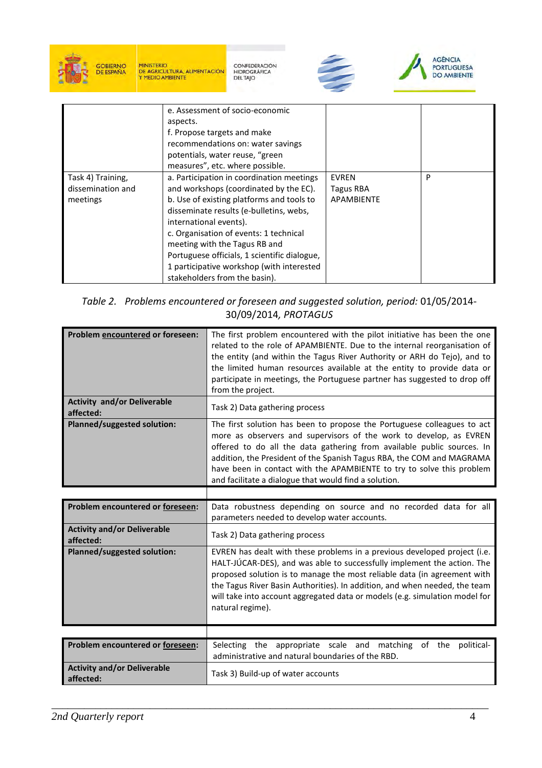

CONFEDERACIÓN<br>HIDROGRÁFICA<br>DEL TAJO





|                                                    | e. Assessment of socio-economic<br>aspects.<br>f. Propose targets and make<br>recommendations on: water savings<br>potentials, water reuse, "green<br>measures", etc. where possible.                                                                                                                                                                                                                          |                                                       |   |
|----------------------------------------------------|----------------------------------------------------------------------------------------------------------------------------------------------------------------------------------------------------------------------------------------------------------------------------------------------------------------------------------------------------------------------------------------------------------------|-------------------------------------------------------|---|
| Task 4) Training,<br>dissemination and<br>meetings | a. Participation in coordination meetings<br>and workshops (coordinated by the EC).<br>b. Use of existing platforms and tools to<br>disseminate results (e-bulletins, webs,<br>international events).<br>c. Organisation of events: 1 technical<br>meeting with the Tagus RB and<br>Portuguese officials, 1 scientific dialogue,<br>1 participative workshop (with interested<br>stakeholders from the basin). | <b>EVREN</b><br><b>Tagus RBA</b><br><b>APAMBIENTE</b> | P |

*Table 2. Problems encountered or foreseen and suggested solution, period:* 01/05/2014- 30/09/2014*, PROTAGUS*

| Problem encountered or foreseen:                | The first problem encountered with the pilot initiative has been the one<br>related to the role of APAMBIENTE. Due to the internal reorganisation of<br>the entity (and within the Tagus River Authority or ARH do Tejo), and to<br>the limited human resources available at the entity to provide data or<br>participate in meetings, the Portuguese partner has suggested to drop off<br>from the project.                       |
|-------------------------------------------------|------------------------------------------------------------------------------------------------------------------------------------------------------------------------------------------------------------------------------------------------------------------------------------------------------------------------------------------------------------------------------------------------------------------------------------|
| <b>Activity and/or Deliverable</b><br>affected: | Task 2) Data gathering process                                                                                                                                                                                                                                                                                                                                                                                                     |
| <b>Planned/suggested solution:</b>              | The first solution has been to propose the Portuguese colleagues to act<br>more as observers and supervisors of the work to develop, as EVREN<br>offered to do all the data gathering from available public sources. In<br>addition, the President of the Spanish Tagus RBA, the COM and MAGRAMA<br>have been in contact with the APAMBIENTE to try to solve this problem<br>and facilitate a dialogue that would find a solution. |
|                                                 |                                                                                                                                                                                                                                                                                                                                                                                                                                    |
| Problem encountered or foreseen:                | Data robustness depending on source and no recorded data for all<br>parameters needed to develop water accounts.                                                                                                                                                                                                                                                                                                                   |
| <b>Activity and/or Deliverable</b><br>affected: | Task 2) Data gathering process                                                                                                                                                                                                                                                                                                                                                                                                     |
| Planned/suggested solution:                     | EVREN has dealt with these problems in a previous developed project (i.e.<br>HALT-JÚCAR-DES), and was able to successfully implement the action. The<br>proposed solution is to manage the most reliable data (in agreement with<br>the Tagus River Basin Authorities). In addition, and when needed, the team<br>will take into account aggregated data or models (e.g. simulation model for<br>natural regime).                  |
|                                                 |                                                                                                                                                                                                                                                                                                                                                                                                                                    |
| Problem encountered or foreseen:                | Selecting the appropriate scale and matching<br>of the political-<br>administrative and natural boundaries of the RBD.                                                                                                                                                                                                                                                                                                             |
| <b>Activity and/or Deliverable</b><br>affected: | Task 3) Build-up of water accounts                                                                                                                                                                                                                                                                                                                                                                                                 |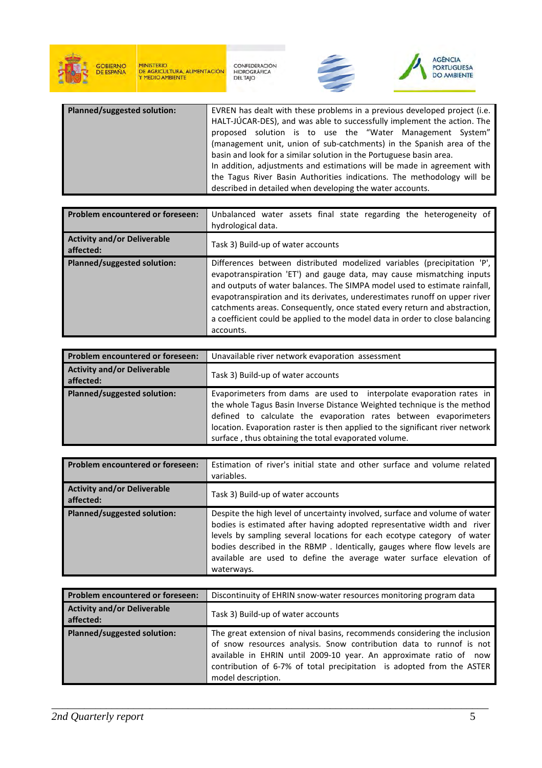

CONFEDERACIÓN<br>HIDROGRÁFICA<br>DEL TAJO





| <b>Planned/suggested solution:</b> | EVREN has dealt with these problems in a previous developed project (i.e.<br>HALT-JÚCAR-DES), and was able to successfully implement the action. The<br>proposed solution is to use the "Water Management System"<br>(management unit, union of sub-catchments) in the Spanish area of the |
|------------------------------------|--------------------------------------------------------------------------------------------------------------------------------------------------------------------------------------------------------------------------------------------------------------------------------------------|
|                                    | basin and look for a similar solution in the Portuguese basin area.<br>In addition, adjustments and estimations will be made in agreement with<br>the Tagus River Basin Authorities indications. The methodology will be<br>described in detailed when developing the water accounts.      |

| <b>Problem encountered or foreseen:</b>         | Unbalanced water assets final state regarding the heterogeneity of<br>hydrological data.                                                                                                                                                                                                                                                                                                                                                                                              |
|-------------------------------------------------|---------------------------------------------------------------------------------------------------------------------------------------------------------------------------------------------------------------------------------------------------------------------------------------------------------------------------------------------------------------------------------------------------------------------------------------------------------------------------------------|
| <b>Activity and/or Deliverable</b><br>affected: | Task 3) Build-up of water accounts                                                                                                                                                                                                                                                                                                                                                                                                                                                    |
| <b>Planned/suggested solution:</b>              | Differences between distributed modelized variables (precipitation 'P',<br>evapotranspiration 'ET') and gauge data, may cause mismatching inputs<br>and outputs of water balances. The SIMPA model used to estimate rainfall,<br>evapotranspiration and its derivates, underestimates runoff on upper river<br>catchments areas. Consequently, once stated every return and abstraction,<br>a coefficient could be applied to the model data in order to close balancing<br>accounts. |

| Problem encountered or foreseen:                | Unavailable river network evaporation assessment                                                                                                                                                                                                                                                                                                             |
|-------------------------------------------------|--------------------------------------------------------------------------------------------------------------------------------------------------------------------------------------------------------------------------------------------------------------------------------------------------------------------------------------------------------------|
| <b>Activity and/or Deliverable</b><br>affected: | Task 3) Build-up of water accounts                                                                                                                                                                                                                                                                                                                           |
| Planned/suggested solution:                     | Evaporimeters from dams are used to interpolate evaporation rates in<br>the whole Tagus Basin Inverse Distance Weighted technique is the method<br>defined to calculate the evaporation rates between evaporimeters<br>location. Evaporation raster is then applied to the significant river network<br>surface, thus obtaining the total evaporated volume. |

| Problem encountered or foreseen:                | Estimation of river's initial state and other surface and volume related<br>variables.                                                                                                                                                                                                                                                                                                            |
|-------------------------------------------------|---------------------------------------------------------------------------------------------------------------------------------------------------------------------------------------------------------------------------------------------------------------------------------------------------------------------------------------------------------------------------------------------------|
| <b>Activity and/or Deliverable</b><br>affected: | Task 3) Build-up of water accounts                                                                                                                                                                                                                                                                                                                                                                |
| Planned/suggested solution:                     | Despite the high level of uncertainty involved, surface and volume of water<br>bodies is estimated after having adopted representative width and river<br>levels by sampling several locations for each ecotype category of water<br>bodies described in the RBMP. Identically, gauges where flow levels are<br>available are used to define the average water surface elevation of<br>waterways. |

| Problem encountered or foreseen:                | Discontinuity of EHRIN snow-water resources monitoring program data                                                                                                                                                                                                                                                   |
|-------------------------------------------------|-----------------------------------------------------------------------------------------------------------------------------------------------------------------------------------------------------------------------------------------------------------------------------------------------------------------------|
| <b>Activity and/or Deliverable</b><br>affected: | Task 3) Build-up of water accounts                                                                                                                                                                                                                                                                                    |
| Planned/suggested solution:                     | The great extension of nival basins, recommends considering the inclusion<br>of snow resources analysis. Snow contribution data to runnof is not<br>available in EHRIN until 2009-10 year. An approximate ratio of now<br>contribution of 6-7% of total precipitation is adopted from the ASTER<br>model description. |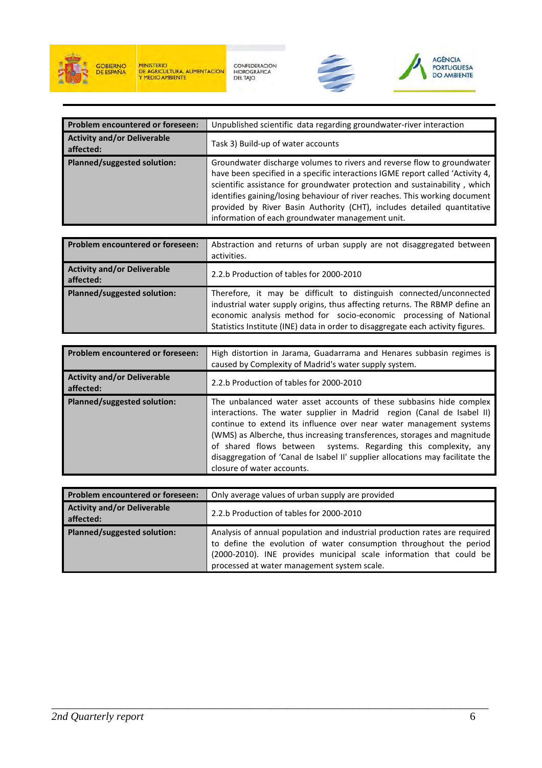

CONFEDERACIÓN<br>HIDROGRÁFICA<br>DEL TAJO





| <b>Problem encountered or foreseen:</b>         | Unpublished scientific data regarding groundwater-river interaction                                                                                                                                                                                                                                                                                                                                                                                   |
|-------------------------------------------------|-------------------------------------------------------------------------------------------------------------------------------------------------------------------------------------------------------------------------------------------------------------------------------------------------------------------------------------------------------------------------------------------------------------------------------------------------------|
| <b>Activity and/or Deliverable</b><br>affected: | Task 3) Build-up of water accounts                                                                                                                                                                                                                                                                                                                                                                                                                    |
| Planned/suggested solution:                     | Groundwater discharge volumes to rivers and reverse flow to groundwater<br>have been specified in a specific interactions IGME report called 'Activity 4,<br>scientific assistance for groundwater protection and sustainability, which<br>identifies gaining/losing behaviour of river reaches. This working document<br>provided by River Basin Authority (CHT), includes detailed quantitative<br>information of each groundwater management unit. |

| <b>Problem encountered or foreseen:</b>         | Abstraction and returns of urban supply are not disaggregated between<br>activities.                                                                                                                                                                                                                        |
|-------------------------------------------------|-------------------------------------------------------------------------------------------------------------------------------------------------------------------------------------------------------------------------------------------------------------------------------------------------------------|
| <b>Activity and/or Deliverable</b><br>affected: | 2.2.b Production of tables for 2000-2010                                                                                                                                                                                                                                                                    |
| Planned/suggested solution:                     | Therefore, it may be difficult to distinguish connected/unconnected<br>industrial water supply origins, thus affecting returns. The RBMP define an<br>economic analysis method for socio-economic processing of National<br>Statistics Institute (INE) data in order to disaggregate each activity figures. |

| <b>Problem encountered or foreseen:</b>         | High distortion in Jarama, Guadarrama and Henares subbasin regimes is<br>caused by Complexity of Madrid's water supply system.                                                                                                                                                                                                                                                                                                                                                      |
|-------------------------------------------------|-------------------------------------------------------------------------------------------------------------------------------------------------------------------------------------------------------------------------------------------------------------------------------------------------------------------------------------------------------------------------------------------------------------------------------------------------------------------------------------|
| <b>Activity and/or Deliverable</b><br>affected: | 2.2.b Production of tables for 2000-2010                                                                                                                                                                                                                                                                                                                                                                                                                                            |
| Planned/suggested solution:                     | The unbalanced water asset accounts of these subbasins hide complex<br>interactions. The water supplier in Madrid region (Canal de Isabel II)<br>continue to extend its influence over near water management systems<br>(WMS) as Alberche, thus increasing transferences, storages and magnitude<br>of shared flows between systems. Regarding this complexity, any<br>disaggregation of 'Canal de Isabel II' supplier allocations may facilitate the<br>closure of water accounts. |

| Problem encountered or foreseen:                | Only average values of urban supply are provided                                                                                                                                                                                                                       |
|-------------------------------------------------|------------------------------------------------------------------------------------------------------------------------------------------------------------------------------------------------------------------------------------------------------------------------|
| <b>Activity and/or Deliverable</b><br>affected: | 2.2.b Production of tables for 2000-2010                                                                                                                                                                                                                               |
| <b>Planned/suggested solution:</b>              | Analysis of annual population and industrial production rates are required<br>to define the evolution of water consumption throughout the period<br>(2000-2010). INE provides municipal scale information that could be<br>processed at water management system scale. |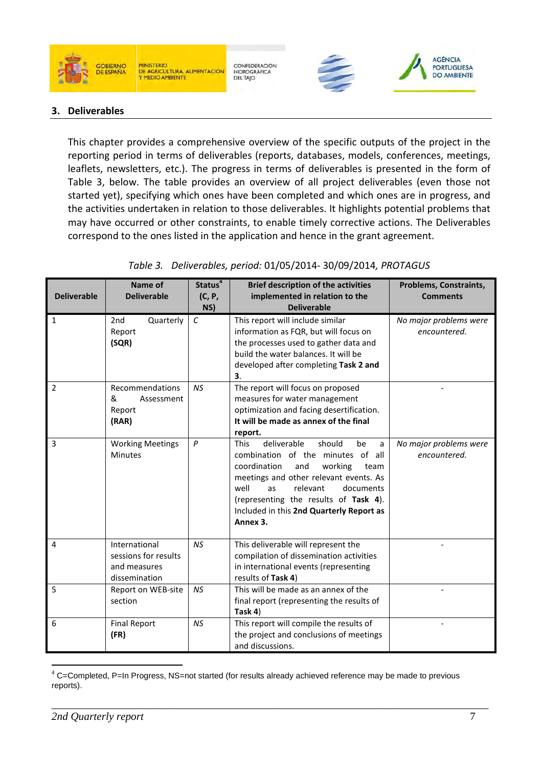

#### **MINISTERIO** DE AGRICULTURA, ALIMENTACIÓN

CONFEDERACIÓN HIDROGRÁFICA<br>DEL TAJO





#### **3. Deliverables**

This chapter provides a comprehensive overview of the specific outputs of the project in the reporting period in terms of deliverables (reports, databases, models, conferences, meetings, leaflets, newsletters, etc.). The progress in terms of deliverables is presented in the form of Table 3, below. The table provides an overview of all project deliverables (even those not started yet), specifying which ones have been completed and which ones are in progress, and the activities undertaken in relation to those deliverables. It highlights potential problems that may have occurred or other constraints, to enable timely corrective actions. The Deliverables correspond to the ones listed in the application and hence in the grant agreement.

|                    | Name of                                                                | Status <sup>4</sup> | <b>Brief description of the activities</b>                                                                                                                                                                                                                                                                       | Problems, Constraints,                 |
|--------------------|------------------------------------------------------------------------|---------------------|------------------------------------------------------------------------------------------------------------------------------------------------------------------------------------------------------------------------------------------------------------------------------------------------------------------|----------------------------------------|
| <b>Deliverable</b> | <b>Deliverable</b>                                                     | (C, P,<br>NS)       | implemented in relation to the<br><b>Deliverable</b>                                                                                                                                                                                                                                                             | <b>Comments</b>                        |
| 1                  | Quarterly<br>2 <sub>nd</sub><br>Report<br>(SQR)                        | $\epsilon$          | This report will include similar<br>information as FQR, but will focus on<br>the processes used to gather data and<br>build the water balances. It will be<br>developed after completing Task 2 and<br>З.                                                                                                        | No major problems were<br>encountered. |
| $\overline{2}$     | Recommendations<br>&<br>Assessment<br>Report<br>(RAR)                  | <b>NS</b>           | The report will focus on proposed<br>measures for water management<br>optimization and facing desertification.<br>It will be made as annex of the final<br>report.                                                                                                                                               |                                        |
| 3                  | <b>Working Meetings</b><br><b>Minutes</b>                              | P                   | deliverable<br>should<br><b>This</b><br>be<br>a<br>combination of the minutes of all<br>coordination<br>working<br>and<br>team<br>meetings and other relevant events. As<br>well<br>relevant<br>documents<br>as<br>(representing the results of Task 4).<br>Included in this 2nd Quarterly Report as<br>Annex 3. | No major problems were<br>encountered. |
| 4                  | International<br>sessions for results<br>and measures<br>dissemination | <b>NS</b>           | This deliverable will represent the<br>compilation of dissemination activities<br>in international events (representing<br>results of Task 4)                                                                                                                                                                    |                                        |
| 5                  | Report on WEB-site<br>section                                          | NS                  | This will be made as an annex of the<br>final report (representing the results of<br>Task 4)                                                                                                                                                                                                                     |                                        |
| 6                  | <b>Final Report</b><br>(FR)                                            | NS                  | This report will compile the results of<br>the project and conclusions of meetings<br>and discussions.                                                                                                                                                                                                           |                                        |

#### *Table 3. Deliverables, period:* 01/05/2014- 30/09/2014*, PROTAGUS*

 $\overline{a}$  $4$  C=Completed, P=In Progress, NS=not started (for results already achieved reference may be made to previous reports).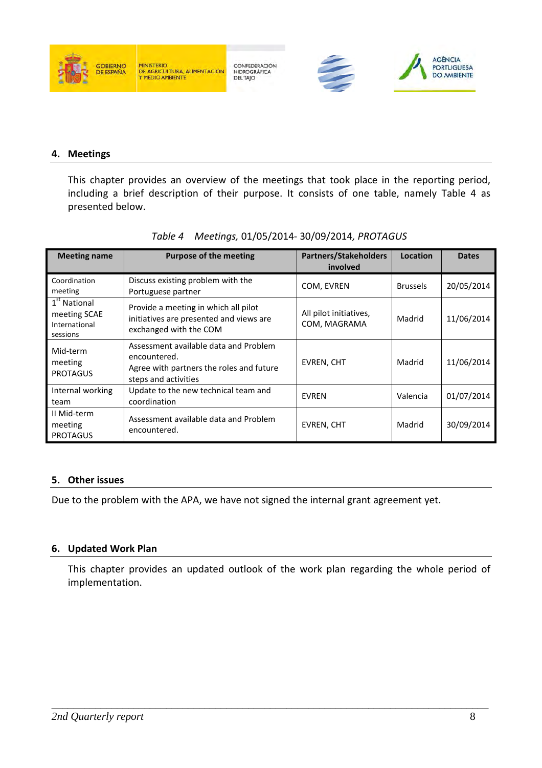

CONFEDERACIÓN HIDROGRÁFICA<br>DEL TAJO





#### **4. Meetings**

This chapter provides an overview of the meetings that took place in the reporting period, including a brief description of their purpose. It consists of one table, namely Table 4 as presented below.

| <b>Meeting name</b>                                                   | <b>Purpose of the meeting</b>                                                                                             | <b>Partners/Stakeholders</b><br>involved | Location        | <b>Dates</b> |
|-----------------------------------------------------------------------|---------------------------------------------------------------------------------------------------------------------------|------------------------------------------|-----------------|--------------|
| Coordination<br>meeting                                               | Discuss existing problem with the<br>Portuguese partner                                                                   | COM, EVREN                               | <b>Brussels</b> | 20/05/2014   |
| 1 <sup>st</sup> National<br>meeting SCAE<br>International<br>sessions | Provide a meeting in which all pilot<br>initiatives are presented and views are<br>exchanged with the COM                 | All pilot initiatives,<br>COM, MAGRAMA   | Madrid          | 11/06/2014   |
| Mid-term<br>meeting<br><b>PROTAGUS</b>                                | Assessment available data and Problem<br>encountered.<br>Agree with partners the roles and future<br>steps and activities | <b>EVREN, CHT</b>                        | Madrid          | 11/06/2014   |
| Internal working<br>team                                              | Update to the new technical team and<br>coordination                                                                      | <b>EVREN</b>                             | Valencia        | 01/07/2014   |
| II Mid-term<br>meeting<br><b>PROTAGUS</b>                             | Assessment available data and Problem<br>encountered.                                                                     | EVREN, CHT                               | Madrid          | 30/09/2014   |

### *Table 4 Meetings,* 01/05/2014- 30/09/2014*, PROTAGUS*

### **5. Other issues**

Due to the problem with the APA, we have not signed the internal grant agreement yet.

#### **6. Updated Work Plan**

This chapter provides an updated outlook of the work plan regarding the whole period of implementation.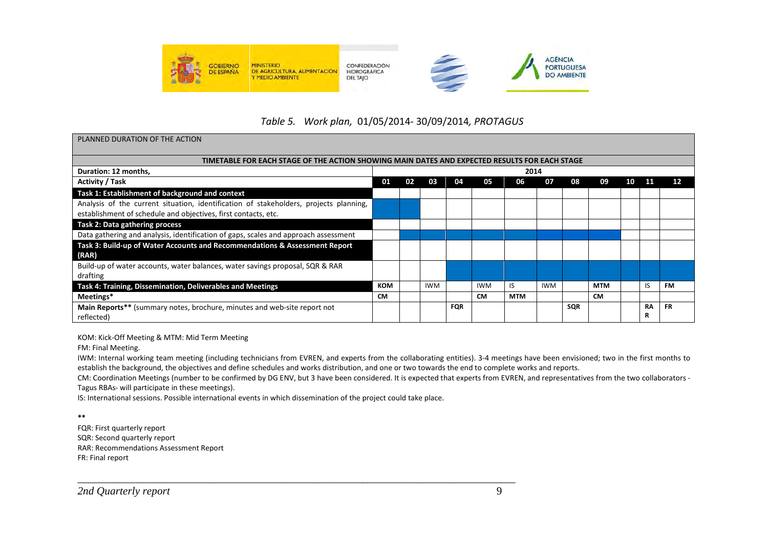

### *Table 5. Work plan,* 01/05/2014- 30/09/2014*, PROTAGUS*

| PLANNED DURATION OF THE ACTION                                                                |            |    |            |            |            |            |            |     |            |    |    |           |
|-----------------------------------------------------------------------------------------------|------------|----|------------|------------|------------|------------|------------|-----|------------|----|----|-----------|
| TIMETABLE FOR EACH STAGE OF THE ACTION SHOWING MAIN DATES AND EXPECTED RESULTS FOR EACH STAGE |            |    |            |            |            |            |            |     |            |    |    |           |
| Duration: 12 months,                                                                          |            |    |            |            |            | 2014       |            |     |            |    |    |           |
| <b>Activity / Task</b>                                                                        | 01         | 02 | 03         | 04         | 05         | 06         | 07         | 08  | 09         | 10 | 11 | 12        |
| Task 1: Establishment of background and context                                               |            |    |            |            |            |            |            |     |            |    |    |           |
| Analysis of the current situation, identification of stakeholders, projects planning,         |            |    |            |            |            |            |            |     |            |    |    |           |
| establishment of schedule and objectives, first contacts, etc.                                |            |    |            |            |            |            |            |     |            |    |    |           |
| Task 2: Data gathering process                                                                |            |    |            |            |            |            |            |     |            |    |    |           |
| Data gathering and analysis, identification of gaps, scales and approach assessment           |            |    |            |            |            |            |            |     |            |    |    |           |
| Task 3: Build-up of Water Accounts and Recommendations & Assessment Report                    |            |    |            |            |            |            |            |     |            |    |    |           |
| (RAR)                                                                                         |            |    |            |            |            |            |            |     |            |    |    |           |
| Build-up of water accounts, water balances, water savings proposal, SQR & RAR                 |            |    |            |            |            |            |            |     |            |    |    |           |
| drafting                                                                                      |            |    |            |            |            |            |            |     |            |    |    |           |
| Task 4: Training, Dissemination, Deliverables and Meetings                                    | <b>KOM</b> |    | <b>IWM</b> |            | <b>IWM</b> | IS         | <b>IWM</b> |     | <b>MTM</b> |    | IS | <b>FM</b> |
| Meetings*                                                                                     | <b>CM</b>  |    |            |            | <b>CM</b>  | <b>MTM</b> |            |     | <b>CM</b>  |    |    |           |
| <b>Main Reports**</b> (summary notes, brochure, minutes and web-site report not               |            |    |            | <b>FQR</b> |            |            |            | SQR |            |    | RA | <b>FR</b> |
| reflected)                                                                                    |            |    |            |            |            |            |            |     |            |    | R  |           |

KOM: Kick-Off Meeting & MTM: Mid Term Meeting

FM: Final Meeting.

IWM: Internal working team meeting (including technicians from EVREN, and experts from the collaborating entities). 3-4 meetings have been envisioned; two in the first months to establish the background, the objectives and define schedules and works distribution, and one or two towards the end to complete works and reports.

 CM: Coordination Meetings (number to be confirmed by DG ENV, but 3 have been considered. It is expected that experts from EVREN, and representatives from the two collaborators - Tagus RBAs- will participate in these meetings).

IS: International sessions. Possible international events in which dissemination of the project could take place.

\_\_\_\_\_\_\_\_\_\_\_\_\_\_\_\_\_\_\_\_\_\_\_\_\_\_\_\_\_\_\_\_\_\_\_\_\_\_\_\_\_\_\_\_\_\_\_\_\_\_\_\_\_\_\_\_\_\_\_\_\_\_\_\_\_\_\_\_\_\_\_\_\_\_\_\_\_\_\_\_

**\*\*** 

FQR: First quarterly report SQR: Second quarterly report RAR: Recommendations Assessment Report FR: Final report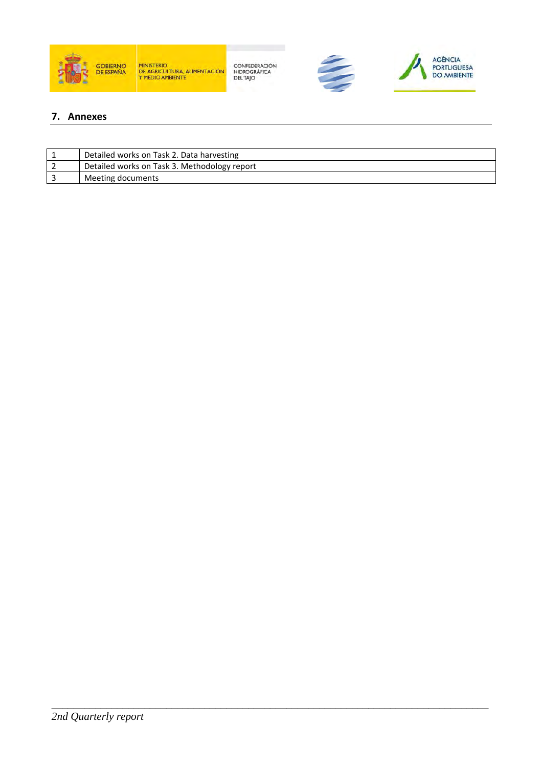

CONFEDERACIÓN<br>HIDROGRÁFICA<br>DEL TAJO





#### **7. Annexes**

| Detailed works on Task 2. Data harvesting    |
|----------------------------------------------|
| Detailed works on Task 3. Methodology report |
| Meeting documents                            |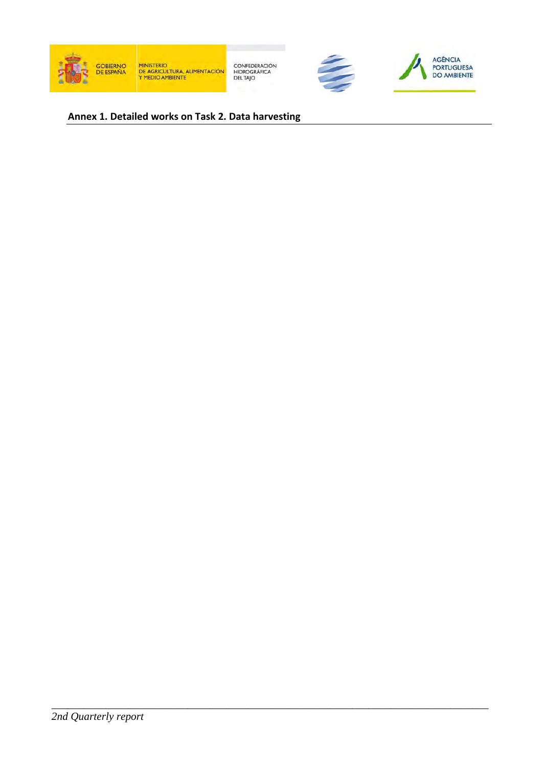





### **Annex 1. Detailed works on Task 2. Data harvesting**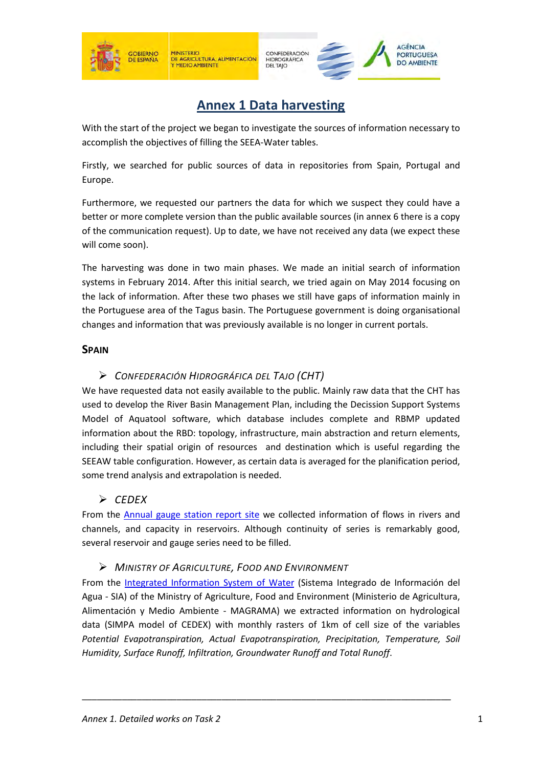





# **Annex 1 Data harvesting**

With the start of the project we began to investigate the sources of information necessary to accomplish the objectives of filling the SEEA-Water tables.

Firstly, we searched for public sources of data in repositories from Spain, Portugal and Europe.

Furthermore, we requested our partners the data for which we suspect they could have a better or more complete version than the public available sources (in annex 6 there is a copy of the communication request). Up to date, we have not received any data (we expect these will come soon).

The harvesting was done in two main phases. We made an initial search of information systems in February 2014. After this initial search, we tried again on May 2014 focusing on the lack of information. After these two phases we still have gaps of information mainly in the Portuguese area of the Tagus basin. The Portuguese government is doing organisational changes and information that was previously available is no longer in current portals.

### **SPAIN**

### *CONFEDERACIÓN HIDROGRÁFICA DEL TAJO (CHT)*

We have requested data not easily available to the public. Mainly raw data that the CHT has used to develop the River Basin Management Plan, including the Decission Support Systems Model of Aquatool software, which database includes complete and RBMP updated information about the RBD: topology, infrastructure, main abstraction and return elements, including their spatial origin of resources and destination which is useful regarding the SEEAW table configuration. However, as certain data is averaged for the planification period, some trend analysis and extrapolation is needed.

### *CEDEX*

From the Annual gauge station report site we collected information of flows in rivers and channels, and capacity in reservoirs. Although continuity of series is remarkably good, several reservoir and gauge series need to be filled.

### *MINISTRY OF AGRICULTURE, FOOD AND ENVIRONMENT*

From the Integrated Information System of Water (Sistema Integrado de Información del Agua - SIA) of the Ministry of Agriculture, Food and Environment (Ministerio de Agricultura, Alimentación y Medio Ambiente - MAGRAMA) we extracted information on hydrological data (SIMPA model of CEDEX) with monthly rasters of 1km of cell size of the variables *Potential Evapotranspiration, Actual Evapotranspiration, Precipitation, Temperature, Soil Humidity, Surface Runoff, Infiltration, Groundwater Runoff and Total Runoff*.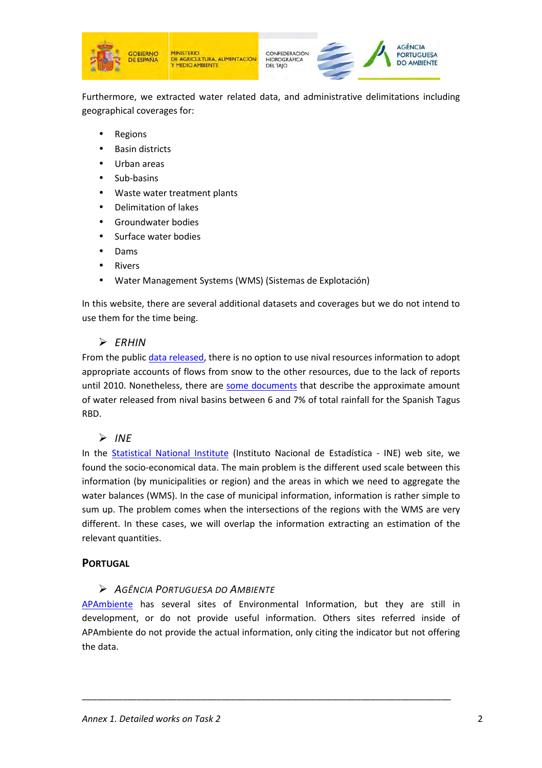





Furthermore, we extracted water related data, and administrative delimitations including geographical coverages for:

- **Regions**
- Basin districts
- Urban areas
- Sub-basins
- Waste water treatment plants
- Delimitation of lakes
- Groundwater bodies
- Surface water bodies
- Dams
- **Rivers**
- Water Management Systems (WMS) (Sistemas de Explotación)

In this website, there are several additional datasets and coverages but we do not intend to use them for the time being.

### *ERHIN*

From the public data released, there is no option to use nival resources information to adopt appropriate accounts of flows from snow to the other resources, due to the lack of reports until 2010. Nonetheless, there are some documents that describe the approximate amount of water released from nival basins between 6 and 7% of total rainfall for the Spanish Tagus RBD.

### $\triangleright$  *INE*

In the Statistical National Institute (Instituto Nacional de Estadística - INE) web site, we found the socio-economical data. The main problem is the different used scale between this information (by municipalities or region) and the areas in which we need to aggregate the water balances (WMS). In the case of municipal information, information is rather simple to sum up. The problem comes when the intersections of the regions with the WMS are very different. In these cases, we will overlap the information extracting an estimation of the relevant quantities.

### **PORTUGAL**

### *AGÊNCIA PORTUGUESA DO AMBIENTE*

APAmbiente has several sites of Environmental Information, but they are still in development, or do not provide useful information. Others sites referred inside of APAmbiente do not provide the actual information, only citing the indicator but not offering the data.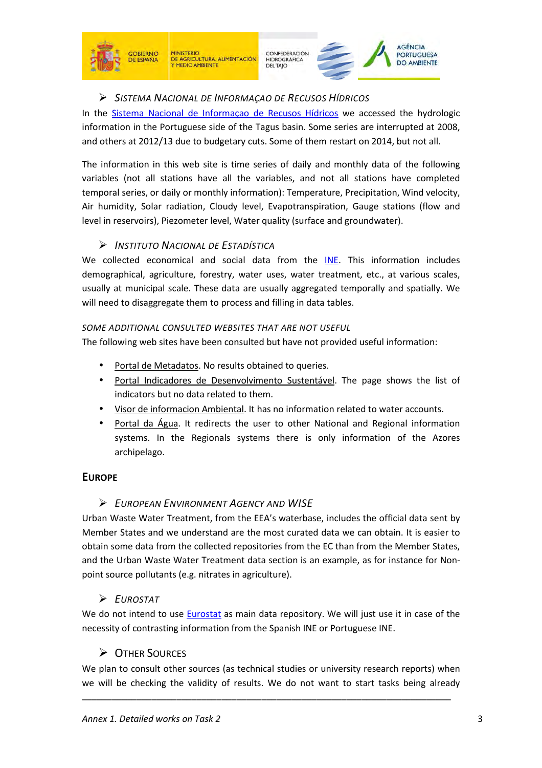

**SOBIERNO** 

**DE ESPAÑA** 

CONFEDERACIÓN HIDROGRÁFICA<br>DEL TAJO

AGÊNCIA

**PORTUGUESA** 



In the Sistema Nacional de Informaçao de Recusos Hídricos we accessed the hydrologic information in the Portuguese side of the Tagus basin. Some series are interrupted at 2008, and others at 2012/13 due to budgetary cuts. Some of them restart on 2014, but not all.

The information in this web site is time series of daily and monthly data of the following variables (not all stations have all the variables, and not all stations have completed temporal series, or daily or monthly information): Temperature, Precipitation, Wind velocity, Air humidity, Solar radiation, Cloudy level, Evapotranspiration, Gauge stations (flow and level in reservoirs), Piezometer level, Water quality (surface and groundwater).

### *INSTITUTO NACIONAL DE ESTADÍSTICA*

We collected economical and social data from the INE. This information includes demographical, agriculture, forestry, water uses, water treatment, etc., at various scales, usually at municipal scale. These data are usually aggregated temporally and spatially. We will need to disaggregate them to process and filling in data tables.

### *SOME ADDITIONAL CONSULTED WEBSITES THAT ARE NOT USEFUL*

The following web sites have been consulted but have not provided useful information:

- Portal de Metadatos. No results obtained to queries.
- Portal Indicadores de Desenvolvimento Sustentável. The page shows the list of indicators but no data related to them.
- Visor de informacion Ambiental. It has no information related to water accounts.
- Portal da Água. It redirects the user to other National and Regional information systems. In the Regionals systems there is only information of the Azores archipelago.

### **EUROPE**

### *EUROPEAN ENVIRONMENT AGENCY AND WISE*

Urban Waste Water Treatment, from the EEA's waterbase, includes the official data sent by Member States and we understand are the most curated data we can obtain. It is easier to obtain some data from the collected repositories from the EC than from the Member States, and the Urban Waste Water Treatment data section is an example, as for instance for Nonpoint source pollutants (e.g. nitrates in agriculture).

### *EUROSTAT*

We do not intend to use Eurostat as main data repository. We will just use it in case of the necessity of contrasting information from the Spanish INE or Portuguese INE.

### **DE OTHER SOURCES**

We plan to consult other sources (as technical studies or university research reports) when we will be checking the validity of results. We do not want to start tasks being already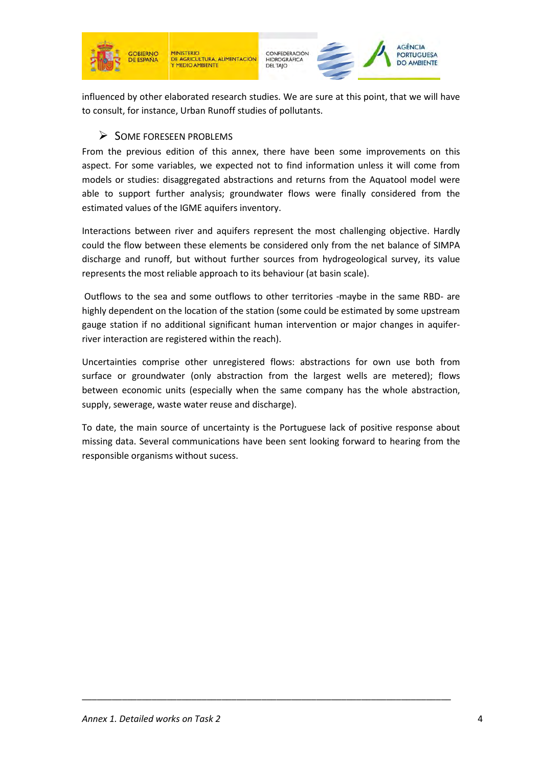

CONFEDERACIÓN<br>HIDROGRÁFICA<br>DEL TAJO



influenced by other elaborated research studies. We are sure at this point, that we will have to consult, for instance, Urban Runoff studies of pollutants.

### $\triangleright$  SOME FORESEEN PROBLEMS

From the previous edition of this annex, there have been some improvements on this aspect. For some variables, we expected not to find information unless it will come from models or studies: disaggregated abstractions and returns from the Aquatool model were able to support further analysis; groundwater flows were finally considered from the estimated values of the IGME aquifers inventory.

Interactions between river and aquifers represent the most challenging objective. Hardly could the flow between these elements be considered only from the net balance of SIMPA discharge and runoff, but without further sources from hydrogeological survey, its value represents the most reliable approach to its behaviour (at basin scale).

 Outflows to the sea and some outflows to other territories -maybe in the same RBD- are highly dependent on the location of the station (some could be estimated by some upstream gauge station if no additional significant human intervention or major changes in aquiferriver interaction are registered within the reach).

Uncertainties comprise other unregistered flows: abstractions for own use both from surface or groundwater (only abstraction from the largest wells are metered); flows between economic units (especially when the same company has the whole abstraction, supply, sewerage, waste water reuse and discharge).

To date, the main source of uncertainty is the Portuguese lack of positive response about missing data. Several communications have been sent looking forward to hearing from the responsible organisms without sucess.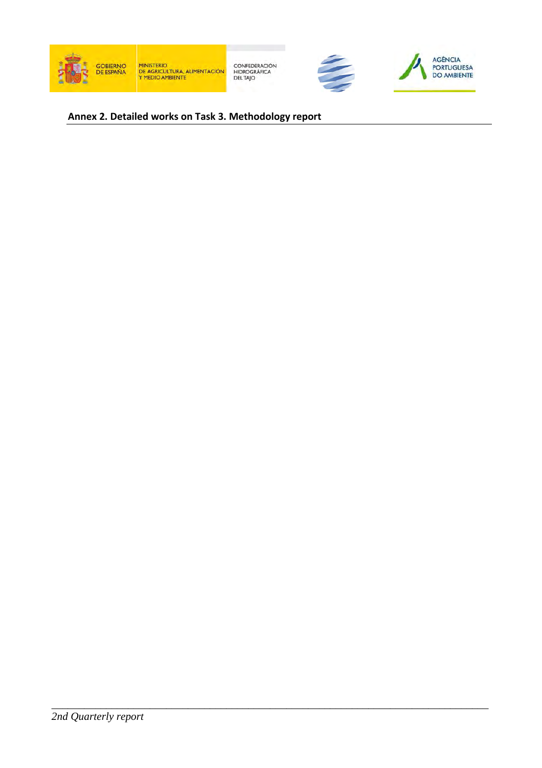





### **Annex 2. Detailed works on Task 3. Methodology report**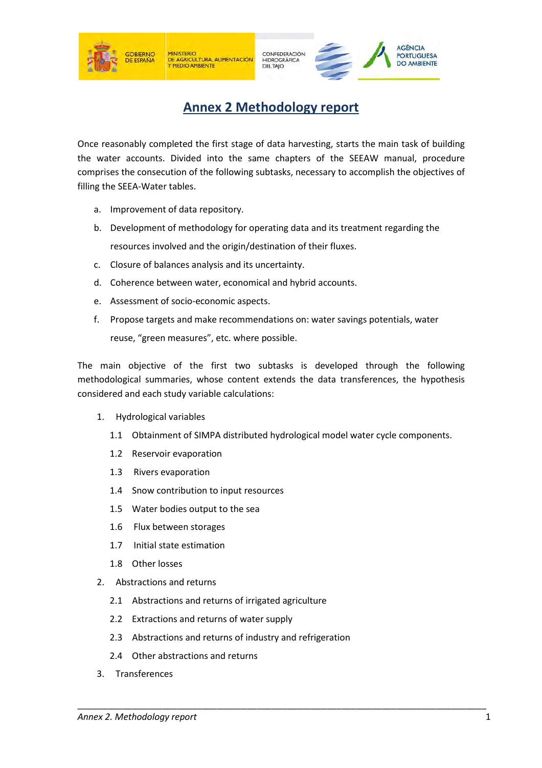



## **Annex 2 Methodology report**

Once reasonably completed the first stage of data harvesting, starts the main task of building the water accounts. Divided into the same chapters of the SEEAW manual, procedure comprises the consecution of the following subtasks, necessary to accomplish the objectives of filling the SEEA-Water tables.

- a. Improvement of data repository.
- b. Development of methodology for operating data and its treatment regarding the resources involved and the origin/destination of their fluxes.
- c. Closure of balances analysis and its uncertainty.
- d. Coherence between water, economical and hybrid accounts.
- e. Assessment of socio-economic aspects.
- f. Propose targets and make recommendations on: water savings potentials, water reuse, "green measures", etc. where possible.

The main objective of the first two subtasks is developed through the following methodological summaries, whose content extends the data transferences, the hypothesis considered and each study variable calculations:

- 1. Hydrological variables
	- 1.1 Obtainment of SIMPA distributed hydrological model water cycle components.

- 1.2 Reservoir evaporation
- 1.3 Rivers evaporation
- 1.4 Snow contribution to input resources
- 1.5 Water bodies output to the sea
- 1.6 Flux between storages
- 1.7 Initial state estimation
- 1.8 Other losses
- 2. Abstractions and returns
	- 2.1 Abstractions and returns of irrigated agriculture
	- 2.2 Extractions and returns of water supply
	- 2.3 Abstractions and returns of industry and refrigeration
	- 2.4 Other abstractions and returns
- 3. Transferences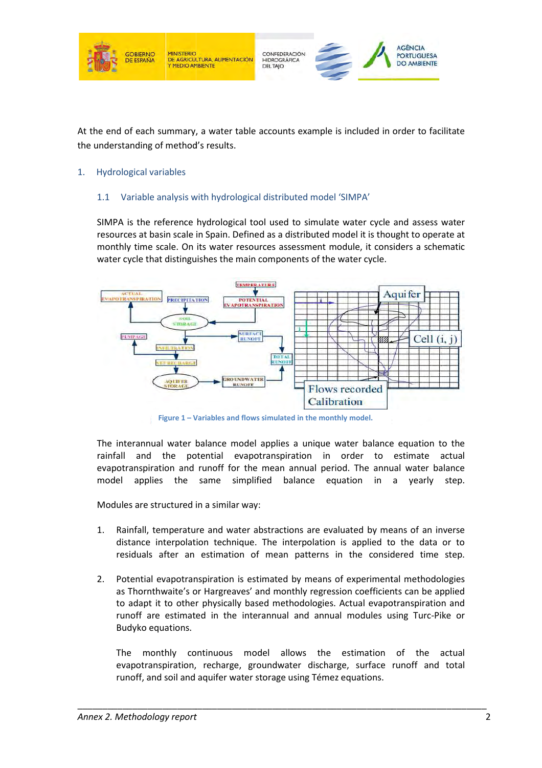

At the end of each summary, a water table accounts example is included in order to facilitate the understanding of method's results.

#### 1. Hydrological variables

#### 1.1 Variable analysis with hydrological distributed model 'SIMPA'

SIMPA is the reference hydrological tool used to simulate water cycle and assess water resources at basin scale in Spain. Defined as a distributed model it is thought to operate at monthly time scale. On its water resources assessment module, it considers a schematic monthly time scale. On its water resources assessment module, it con<br>water cycle that distinguishes the main components of the water cycle.



**Figure 1 – Variables** 

The interannual water balance model applies a unique water balance equation to the rainfall and the potential evapotranspiration in order to estimate actual evapotranspiration and runoff for the mean annual period. The annual water balance model applies the same simplified balance equation in a yearly step.

Modules are structured in a similar way:

- 1. Rainfall, temperature and water abstractions are evaluated by means of an inverse distance interpolation technique. The interpolation is applied to the data or to residuals after an estimation of mean patterns in the considered time step. is are structured in a similar way:<br>
Infall, temperature and water abstractions are evaluated by means of an inverse<br>
tance interpolation technique. The interpolation is applied to the data or to<br>
iduals after an estimatio
- 2. Potential evapotranspiration is estimated by means of experimental methodologies as Thornthwaite's or Hargreaves' and monthly regression coefficients can be applied to adapt it to other physically based methodologies. Actual evapotranspiration and runoff are estimated in the interannual and annual modules using Turc Turc-Pike or Budyko equations. Variables and flows simulated in the monthly model.<br>
balance model applies a unique water bal<br>
btential evapotranspiration in order<br>
runoff for the mean annual period. The<br>
same simplified balance equation<br>
in a similar wa

The monthly continuous model allows the estimation of the actual evapotranspiration, recharge, groundwater discharge, surface runoff and total runoff, and soil and aquifer water storage using Témez equations.

\_\_\_\_\_\_\_\_\_\_\_\_\_\_\_\_\_\_\_\_\_\_\_\_\_\_\_\_\_\_\_\_\_\_\_\_\_\_\_\_\_\_\_\_

\_\_\_\_\_\_\_\_\_\_\_\_\_\_\_\_\_\_\_\_\_\_\_\_\_\_\_\_\_\_\_\_\_\_\_\_\_\_\_\_\_\_\_\_\_\_\_\_\_\_\_\_\_\_\_\_\_\_\_\_\_\_\_\_\_\_\_\_\_\_\_\_\_\_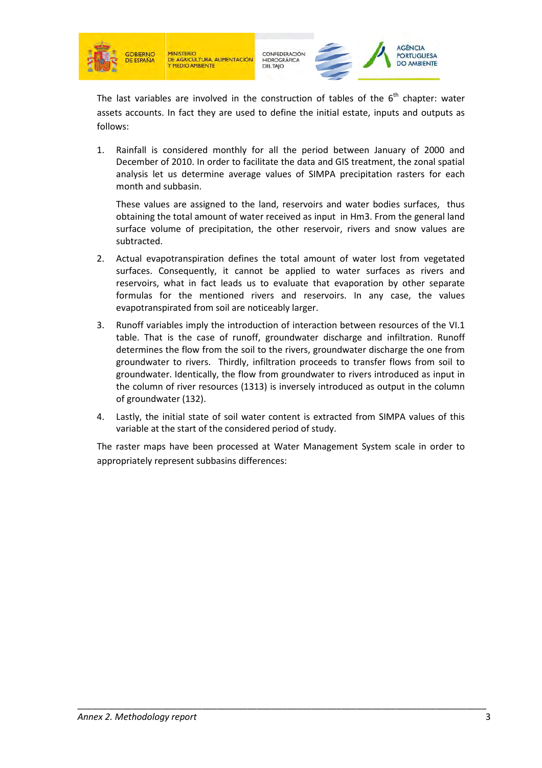





The last variables are involved in the construction of tables of the  $6<sup>th</sup>$  chapter: water assets accounts. In fact they are used to define the initial estate, inputs and outputs as follows:

1. Rainfall is considered monthly for all the period between January of 2000 and December of 2010. In order to facilitate the data and GIS treatment, the zonal spatial analysis let us determine average values of SIMPA precipitation rasters for each month and subbasin.

These values are assigned to the land, reservoirs and water bodies surfaces, thus obtaining the total amount of water received as input in Hm3. From the general land surface volume of precipitation, the other reservoir, rivers and snow values are subtracted.

- 2. Actual evapotranspiration defines the total amount of water lost from vegetated surfaces. Consequently, it cannot be applied to water surfaces as rivers and reservoirs, what in fact leads us to evaluate that evaporation by other separate formulas for the mentioned rivers and reservoirs. In any case, the values evapotranspirated from soil are noticeably larger.
- 3. Runoff variables imply the introduction of interaction between resources of the VI.1 table. That is the case of runoff, groundwater discharge and infiltration. Runoff determines the flow from the soil to the rivers, groundwater discharge the one from groundwater to rivers. Thirdly, infiltration proceeds to transfer flows from soil to groundwater. Identically, the flow from groundwater to rivers introduced as input in the column of river resources (1313) is inversely introduced as output in the column of groundwater (132).
- 4. Lastly, the initial state of soil water content is extracted from SIMPA values of this variable at the start of the considered period of study.

The raster maps have been processed at Water Management System scale in order to appropriately represent subbasins differences: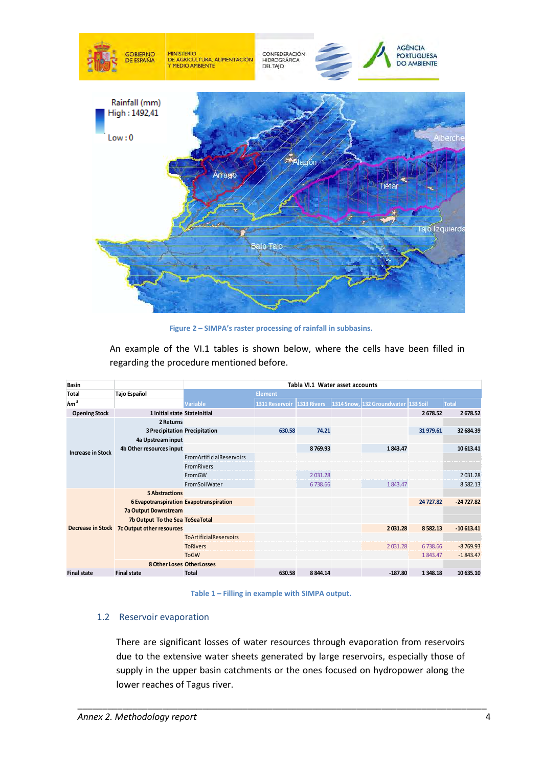

**Figure 2 – SIMPA's raster processing of rainfall in subbasins.** 

An example of the VI.1 tables is shown below, where the cells have been filled in regarding the procedure mentioned before. before.

| <b>Basin</b>             |                                         | Tabla VI.1 Water asset accounts |                |             |  |                                     |           |             |  |
|--------------------------|-----------------------------------------|---------------------------------|----------------|-------------|--|-------------------------------------|-----------|-------------|--|
| <b>Total</b>             | Tajo Español                            |                                 | Element        |             |  |                                     |           |             |  |
| $hm^3$                   |                                         | Variable                        | 1311 Reservoir | 1313 Rivers |  | 1314 Snow, 132 Groundwater 133 Soil |           | Total       |  |
| <b>Opening Stock</b>     | 1 Initial state StateInitial            |                                 |                |             |  |                                     | 2678.52   | 2678.52     |  |
|                          | 2 Returns                               |                                 |                |             |  |                                     |           |             |  |
|                          | 3 Precipitation Precipitation           |                                 | 630.58         | 74.21       |  |                                     | 31 979.61 | 32 684.39   |  |
| <b>Increase in Stock</b> | 4a Upstream input                       |                                 |                |             |  |                                     |           |             |  |
|                          | 4b Other resources input                |                                 |                | 8769.93     |  | 1843.47                             |           | 10 613.41   |  |
|                          |                                         | <b>FromArtificialReservoirs</b> |                |             |  |                                     |           |             |  |
|                          |                                         | <b>FromRivers</b>               |                |             |  |                                     |           |             |  |
|                          |                                         | FromGW                          |                | 2031.28     |  |                                     |           | 2031.28     |  |
|                          |                                         | FromSoilWater                   |                | 6738.66     |  | 1843.47                             |           | 8582.13     |  |
|                          | <b>5 Abstractions</b>                   |                                 |                |             |  |                                     |           |             |  |
|                          | 6 Evapotranspiration Evapotranspiration |                                 |                |             |  |                                     | 24 727.82 | $-24727.82$ |  |
|                          | 7a Output Downstream                    |                                 |                |             |  |                                     |           |             |  |
|                          | 7b Output To the Sea ToSeaTotal         |                                 |                |             |  |                                     |           |             |  |
| <b>Decrease in Stock</b> | 7c Output other resources               |                                 |                |             |  | 2031.28                             | 8582.13   | $-10613.41$ |  |
|                          |                                         | <b>ToArtificialReservoirs</b>   |                |             |  |                                     |           |             |  |
|                          |                                         | <b>ToRivers</b>                 |                |             |  | 2031.28                             | 6738.66   | $-8769.93$  |  |
|                          |                                         | <b>ToGW</b>                     |                |             |  |                                     | 1843.47   | $-1843.47$  |  |
|                          | 8 Other Loses OtherLosses               |                                 |                |             |  |                                     |           |             |  |
| <b>Final state</b>       | <b>Final state</b>                      | <b>Total</b>                    | 630.58         | 8 8 4 4.14  |  | $-187.80$                           | 1 348.18  | 10 635.10   |  |



\_\_\_\_\_\_\_\_\_\_\_\_\_\_\_\_\_\_\_\_\_\_\_\_\_\_\_\_\_\_\_\_\_\_\_\_\_\_\_\_\_\_\_\_\_\_\_\_\_\_\_\_\_\_\_\_\_\_\_\_\_\_\_\_\_\_\_\_\_\_\_\_\_\_

#### 1.2 Reservoir evaporation

\_\_\_\_\_\_\_\_\_\_\_\_\_\_\_\_\_\_\_\_\_\_\_\_\_\_\_\_\_\_\_\_\_\_\_\_\_\_

There are significant losses of water resources through evaporation from reservoirs There are significant losses of water resources through evaporation from reservoirs<br>due to the extensive water sheets generated by large reservoirs, especially those of supply in the upper basin catchments or the ones focused on hydropower along the lower reaches of Tagus river.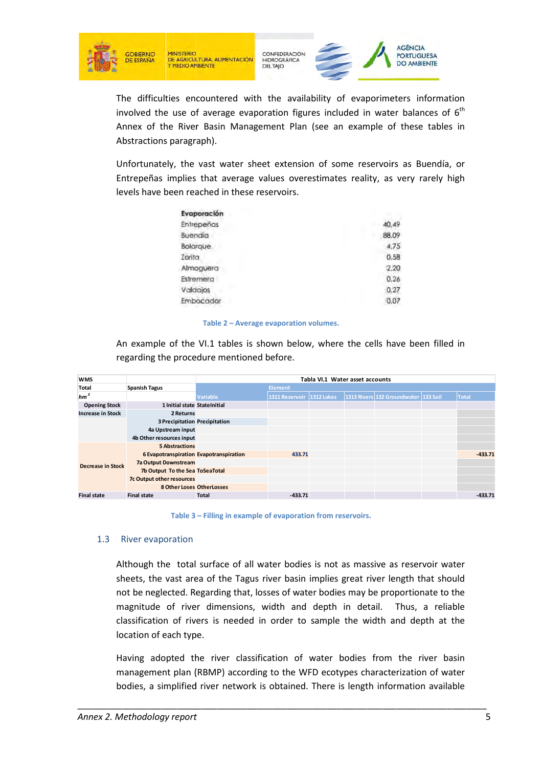

CONFEDERACIÓN<br>HIDROGRÁFICA **DELTAIO** 



The difficulties encountered with the availability of evaporimeters information involved the use of average evaporation figures included in water balances of  $6<sup>th</sup>$ Annex of the River Basin M Management Plan (see an example of these tables in Abstractions paragraph).

| Evaporación |       |
|-------------|-------|
| Entrepeños  | 40.49 |
| Buendia     | 88.09 |
| Bolarque    | 4.75  |
| Zorita      | 0.58  |
| Almoquera   | 2.20  |
| Estremera   | 0.26  |
| Valdajos    | 0.27  |
| Embocador   | 0.07  |
|             |       |

#### **Table 2 – Average evaporation volumes.**

|                                                  | Abstractions paragraph).                                                          |                                        |                           |                                 |                                      |           |
|--------------------------------------------------|-----------------------------------------------------------------------------------|----------------------------------------|---------------------------|---------------------------------|--------------------------------------|-----------|
|                                                  |                                                                                   |                                        |                           |                                 |                                      |           |
|                                                  | Unfortunately, the vast water sheet extension of some reservoirs as Buendía, or   |                                        |                           |                                 |                                      |           |
|                                                  | Entrepeñas implies that average values overestimates reality, as very rarely high |                                        |                           |                                 |                                      |           |
|                                                  |                                                                                   |                                        |                           |                                 |                                      |           |
|                                                  | levels have been reached in these reservoirs.                                     |                                        |                           |                                 |                                      |           |
|                                                  |                                                                                   | Evaporación                            |                           |                                 |                                      |           |
|                                                  |                                                                                   | Entrepenas                             |                           |                                 | 40,49                                |           |
|                                                  | Buendia                                                                           |                                        |                           |                                 | 88,09                                |           |
|                                                  |                                                                                   | Bolarque                               |                           |                                 | 4,75                                 |           |
|                                                  | Zorita                                                                            |                                        |                           |                                 | 0,58                                 |           |
|                                                  |                                                                                   | Almoguera                              |                           |                                 | 2.20                                 |           |
|                                                  |                                                                                   | Estremera                              |                           |                                 | 0.26                                 |           |
|                                                  | Valdajos                                                                          |                                        |                           |                                 | 0.27                                 |           |
|                                                  |                                                                                   | Embocador                              |                           |                                 | 0.07                                 |           |
|                                                  |                                                                                   |                                        |                           |                                 |                                      |           |
|                                                  |                                                                                   | Table 2 - Average evaporation volumes. |                           |                                 |                                      |           |
|                                                  |                                                                                   |                                        |                           |                                 |                                      |           |
|                                                  |                                                                                   |                                        |                           |                                 |                                      |           |
|                                                  | An example of the VI.1 tables is shown below, where the cells have been filled in |                                        |                           |                                 |                                      |           |
|                                                  |                                                                                   |                                        |                           |                                 |                                      |           |
|                                                  | regarding the procedure mentioned before.                                         |                                        |                           |                                 |                                      |           |
| <b>WMS</b>                                       |                                                                                   |                                        |                           | Tabla VI.1 Water asset accounts |                                      |           |
| Total                                            | <b>Spanish Tagus</b>                                                              |                                        | <b>Element</b>            |                                 |                                      |           |
| hm <sup>3</sup>                                  |                                                                                   | Variable                               | 1311 Reservoir 1312 Lakes |                                 | 1313 Rivers 132 Groundwater 133 Soil | Total     |
| <b>Opening Stock</b><br><b>Increase in Stock</b> | 1 Initial state StateInitial<br>2 Returns                                         |                                        |                           |                                 |                                      |           |
|                                                  | <b>3 Precipitation Precipitation</b>                                              |                                        |                           |                                 |                                      |           |
|                                                  | 4a Upstream input                                                                 |                                        |                           |                                 |                                      |           |
|                                                  | 4b Other resources input                                                          |                                        |                           |                                 |                                      |           |
|                                                  | <b>5 Abstractions</b>                                                             |                                        |                           |                                 |                                      |           |
|                                                  | 6 Evapotranspiration Evapotranspiration                                           |                                        | 433.71                    |                                 |                                      | $-433.71$ |
| <b>Decrease in Stock</b>                         | 7a Output Downstream                                                              |                                        |                           |                                 |                                      |           |
|                                                  | 7b Output To the Sea ToSeaTotal                                                   |                                        |                           |                                 |                                      |           |
|                                                  | 7c Output other resources<br><b>8 Other Loses OtherLosses</b>                     |                                        |                           |                                 |                                      |           |

#### 1.3 River evaporation

Although the total surface of all water bodies is not as massive as reservoir water sheets, the vast area of the Tagus river basin implies great river length that should not be neglected. Regarding that, losses of water bodies may be proportionate magnitude of river dimensions, width and depth in detail. Thus, a reliable classification of rivers is needed in order to sample the width and depth at the location of each type.

Having adopted the river classification of water bodies from the river basin management plan (RBMP) according to the WFD ecotypes characterization of water bodies, a simplified river network is obtained. There is length information available

\_\_\_\_\_\_\_\_\_\_\_\_\_\_\_\_\_\_\_\_\_\_\_\_\_\_\_\_\_\_\_\_\_\_\_\_\_\_\_\_\_\_\_\_

\_\_\_\_\_\_\_\_\_\_\_\_\_\_\_\_\_\_\_\_\_\_\_\_\_\_\_\_\_\_\_\_\_\_\_\_\_\_\_\_\_\_\_\_\_\_\_\_\_\_\_\_\_\_\_\_\_\_\_\_\_\_\_\_\_\_\_\_\_\_\_\_\_\_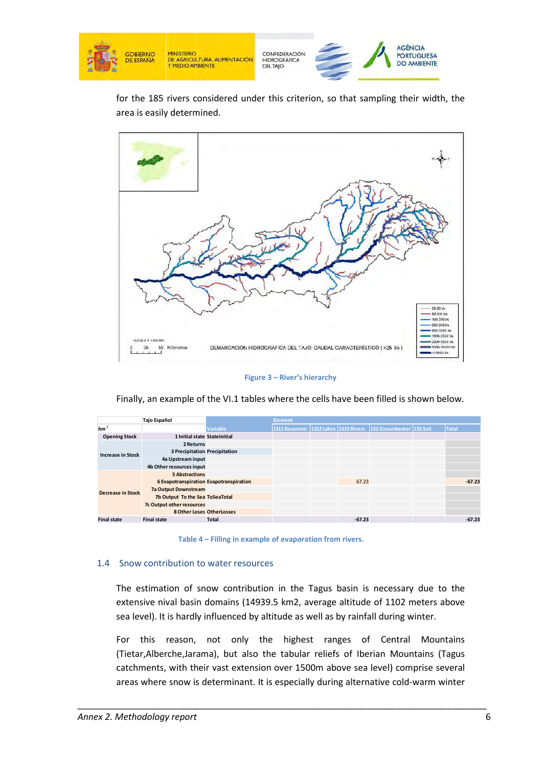

for the 185 rivers considered under this criterion, so that sampling their width, the area is easily determined.



#### **Figure 3 – River's hierarchy**

Finally, an example of the VI.1 tables where the cells have been filled is shown below.

|                          | <b>Tajo Español</b>                     |              | <b>Element</b> |  |          |                                                                |  |              |  |  |
|--------------------------|-----------------------------------------|--------------|----------------|--|----------|----------------------------------------------------------------|--|--------------|--|--|
| $hm^3$                   |                                         | Variable     |                |  |          | 1311 Reservoir 1312 Lakes 1313 Rivers 132 Groundwater 133 Soil |  | <b>Total</b> |  |  |
| <b>Opening Stock</b>     | 1 Initial state StateInitial            |              |                |  |          |                                                                |  |              |  |  |
|                          | 2 Returns                               |              |                |  |          |                                                                |  |              |  |  |
| <b>Increase in Stock</b> | <b>3 Precipitation Precipitation</b>    |              |                |  |          |                                                                |  |              |  |  |
|                          | 4a Upstream input                       |              |                |  |          |                                                                |  |              |  |  |
|                          | 4b Other resources input                |              |                |  |          |                                                                |  |              |  |  |
|                          | <b>5 Abstractions</b>                   |              |                |  |          |                                                                |  |              |  |  |
|                          | 6 Evapotranspiration Evapotranspiration |              |                |  | 67.23    |                                                                |  | $-67.23$     |  |  |
| <b>Decrease in Stock</b> | 7a Output Downstream                    |              |                |  |          |                                                                |  |              |  |  |
|                          | 7b Output To the Sea ToSeaTotal         |              |                |  |          |                                                                |  |              |  |  |
|                          | 7c Output other resources               |              |                |  |          |                                                                |  |              |  |  |
|                          | 8 Other Loses OtherLosses               |              |                |  |          |                                                                |  |              |  |  |
| <b>Final state</b>       | <b>Final state</b>                      | <b>Total</b> |                |  | $-67.23$ |                                                                |  | $-67.23$     |  |  |

**Table 4 4 – Filling in example of evaporation from rivers.** 

#### 1.4 Snow contribution to water resources

The estimation of snow contribution in the Tagus basin is necessary due to the extensive nival basin domains (14939.5 km2, average altitude of 1102 meters above sea level). It is hardly influenced by altitude as well as by rainfall during winter.

For this reason, not only the highest ranges of Central Mountains (Tietar, Alberche, Jarama), but also the tabular reliefs of Iberian Mountains (Tagus catchments, with their vast extension over 1500m above sea level) comprise several areas where snow is determinant. It is especially during alternative cold-warm winter

\_\_\_\_\_\_\_\_\_\_\_\_\_\_\_\_\_\_\_\_\_\_\_\_\_\_\_\_\_\_\_\_\_\_\_\_\_\_\_\_\_\_\_\_

\_\_\_\_\_\_\_\_\_\_\_\_\_\_\_\_\_\_\_\_\_\_\_\_\_\_\_\_\_\_\_\_\_\_\_\_\_\_\_\_\_\_\_\_\_\_\_\_\_\_\_\_\_\_\_\_\_\_\_\_\_\_\_\_\_\_\_\_\_\_\_\_\_\_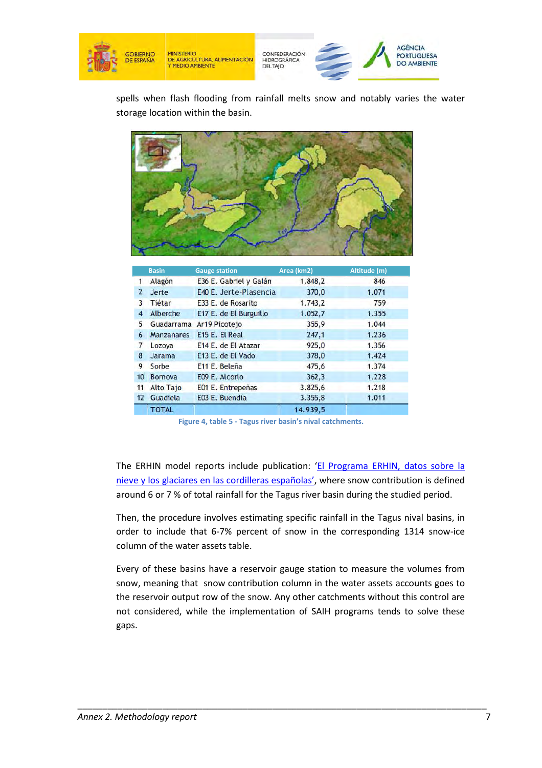

spells when flash flooding from rainfall melts snow and notably varies the water storage location within the basin.



|                | <b>Basin</b>      | <b>Gauge station</b>   | Area (km2) | Altitude (m) |
|----------------|-------------------|------------------------|------------|--------------|
|                | Alagón            | E36 E. Gabriel y Galán | 1.848,2    | 846          |
| $\overline{2}$ | Jerte             | E40 E. Jerte-Plasencia | 370,0      | 1.071        |
| 3              | Tiétar            | E33 E. de Rosarito     | 1.743.2    | 759          |
| 4              | Alberche          | E17 E. de El Burguillo | 1.052,7    | 1.355        |
| 5              | Guadarrama        | Ar19 Picotejo          | 355,9      | 1.044        |
| 6              | <b>Manzanares</b> | E15 E. El Real         | 247,1      | 1.236        |
|                | Lozoya            | E14 E. de El Atazar    | 925,0      | 1.356        |
| 8              | <b>Jarama</b>     | E13 E. de El Vado      | 378,0      | 1.424        |
| 9              | Sorbe             | E11 E. Beleña          | 475,6      | 1.374        |
| 10             | Bornova           | E09 E. Alcorlo         | 362,3      | 1.228        |
| 11             | <b>Alto Tajo</b>  | E01 E. Entrepeñas      | 3.825,6    | 1.218        |
| 12             | Guadiela          | E03 E. Buendía         | 3.355,8    | 1.011        |
|                | <b>TOTAL</b>      |                        | 14.939,5   |              |

**Figure 4, table 5 - Tagus river basin's nival catchments.**

The ERHIN model reports include publication: 'El Programa ERHIN, datos sobre la The ERHIN model reports include publication: '<u>El Programa ERHIN, datos sobre la</u><br>nieve y los glaciares en las cordilleras españolas', where snow contribution is defined around 6 or 7 % of total rainfall for the Tagus river basin during the studied period.

Then, the procedure involves estimating specific rainfall in the Tagus nival basins, in order to include that 6-7% percent of snow in the corresponding 1314 snow-ice column of the water assets table.

Every of these basins have a reservoir gauge station to measure the volumes from snow, meaning that snow contribution column in the water assets accounts goes to the reservoir output row of the snow. Any other catchments without this control are not considered, while the implementation of SAIH programs tends to solve these gaps.

\_\_\_\_\_\_\_\_\_\_\_\_\_\_\_\_\_\_\_\_\_\_\_\_\_\_\_\_\_\_\_\_\_\_\_\_\_\_\_\_\_\_\_\_

\_\_\_\_\_\_\_\_\_\_\_\_\_\_\_\_\_\_\_\_\_\_\_\_\_\_\_\_\_\_\_\_\_\_\_\_\_\_\_\_\_\_\_\_\_\_\_\_\_\_\_\_\_\_\_\_\_\_\_\_\_\_\_\_\_\_\_\_\_\_\_\_\_\_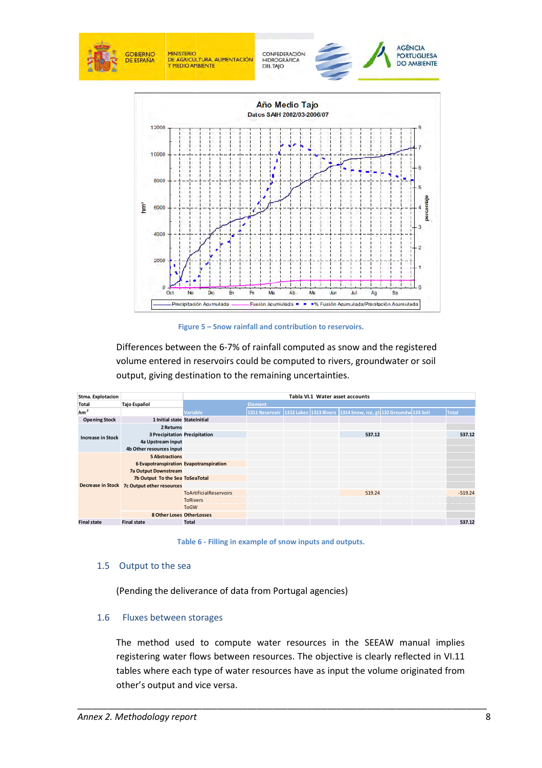

**Figure 5 – Snow rainfall and contribution to reservoirs.** 

|                          |                                                    | Differences between the 6-7% of rainfall computed as snow and the registered  |                                 |  |  |                                                                 |  |  |              |  |
|--------------------------|----------------------------------------------------|-------------------------------------------------------------------------------|---------------------------------|--|--|-----------------------------------------------------------------|--|--|--------------|--|
|                          |                                                    | volume entered in reservoirs could be computed to rivers, groundwater or soil |                                 |  |  |                                                                 |  |  |              |  |
|                          |                                                    | output, giving destination to the remaining uncertainties.                    |                                 |  |  |                                                                 |  |  |              |  |
|                          |                                                    |                                                                               |                                 |  |  |                                                                 |  |  |              |  |
| Stma. Explotacion        |                                                    |                                                                               | Tabla VI.1 Water asset accounts |  |  |                                                                 |  |  |              |  |
| Total                    | Tajo Español                                       |                                                                               | <b>Element</b>                  |  |  |                                                                 |  |  |              |  |
| $hm^3$                   |                                                    | <b>Variable</b>                                                               | <b>1311 Reservoir</b>           |  |  | 1312 Lakes 1313 Rivers 1314 Snow, ice, gla 132 Groundw 133 Soil |  |  | <b>Total</b> |  |
| <b>Opening Stock</b>     | 1 Initial state StateInitial                       |                                                                               |                                 |  |  |                                                                 |  |  |              |  |
|                          | 2 Returns                                          |                                                                               |                                 |  |  | 537.12                                                          |  |  | 537.12       |  |
| <b>Increase in Stock</b> | 3 Precipitation Precipitation<br>4a Upstream input |                                                                               |                                 |  |  |                                                                 |  |  |              |  |
|                          | 4b Other resources input                           |                                                                               |                                 |  |  |                                                                 |  |  |              |  |
|                          | <b>5 Abstractions</b>                              |                                                                               |                                 |  |  |                                                                 |  |  |              |  |
|                          | 6 Evapotranspiration Evapotranspiration            |                                                                               |                                 |  |  |                                                                 |  |  |              |  |
|                          | <b>7a Output Downstream</b>                        |                                                                               |                                 |  |  |                                                                 |  |  |              |  |
|                          | 7b Output To the Sea ToSeaTotal                    |                                                                               |                                 |  |  |                                                                 |  |  |              |  |
|                          | Decrease in Stock 7c Output other resources        |                                                                               |                                 |  |  |                                                                 |  |  |              |  |
|                          |                                                    | <b>ToArtificialReservoirs</b>                                                 |                                 |  |  | 519.24                                                          |  |  | $-519.24$    |  |
|                          |                                                    | <b>ToRivers</b>                                                               |                                 |  |  |                                                                 |  |  |              |  |
|                          |                                                    | <b>ToGW</b>                                                                   |                                 |  |  |                                                                 |  |  |              |  |
|                          | <b>8 Other Loses OtherLosses</b>                   |                                                                               |                                 |  |  |                                                                 |  |  |              |  |
| <b>Final state</b>       | <b>Final state</b>                                 | <b>Total</b>                                                                  |                                 |  |  |                                                                 |  |  | 537.12       |  |
| 1.5                      | Output to the sea                                  | Table 6 - Filling in example of snow inputs and outputs.                      |                                 |  |  |                                                                 |  |  |              |  |
|                          |                                                    | (Pending the deliverance of data from Portugal agencies)                      |                                 |  |  |                                                                 |  |  |              |  |
| 1.6                      | Fluxes between storages                            |                                                                               |                                 |  |  |                                                                 |  |  |              |  |
|                          |                                                    | The method used to compute water resources in the SEEAW manual implies        |                                 |  |  |                                                                 |  |  |              |  |

**Table 6 6 - Filling in example of snow inputs and outputs.** 

#### 1.5 Output to the sea

#### 1.6 Fluxes between storages

\_\_\_\_\_\_\_\_\_\_\_\_\_\_\_\_\_\_\_\_\_\_\_\_\_\_\_\_\_\_\_\_\_\_\_\_\_\_

The method used to compute water resources in the SEEAW manual implies registering water flows between resources. The objective is clearly reflected in VI.11 tables where each type of water resources have as input the volume originated from other's output and vice versa.

\_\_\_\_\_\_\_\_\_\_\_\_\_\_\_\_\_\_\_\_\_\_\_\_\_\_\_\_\_\_\_\_\_\_\_\_\_\_\_\_\_\_\_\_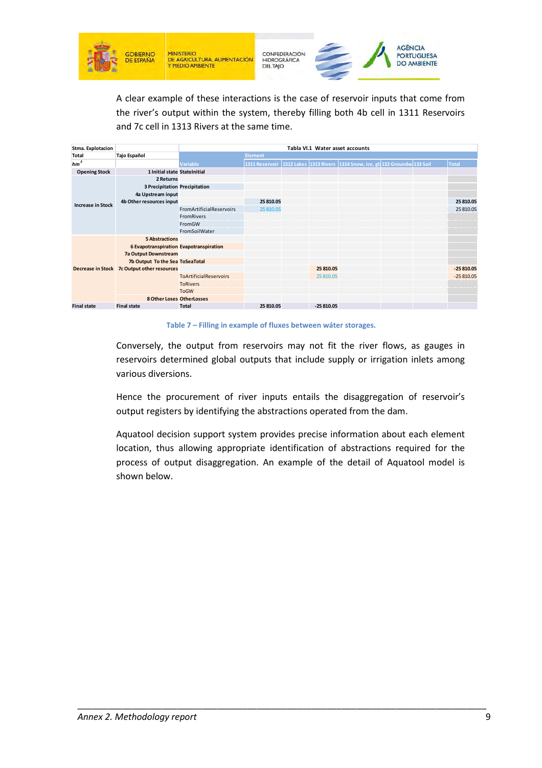

A clear example of these interactions is the case of reservoir inputs that come from the river's output within the system, thereby filling both 4b cell in 1311 Reservoirs and 7c cell in 1313 Rivers at the same time.

| Stma. Explotacion        |                                         | Tabla VI.1 Water asset accounts |                |  |             |                                                                 |  |  |              |
|--------------------------|-----------------------------------------|---------------------------------|----------------|--|-------------|-----------------------------------------------------------------|--|--|--------------|
| <b>Total</b>             | Tajo Español                            |                                 | <b>Element</b> |  |             |                                                                 |  |  |              |
| $hm^3$                   |                                         | <b>Variable</b>                 | 1311 Reservoir |  |             | 1312 Lakes 1313 Rivers 1314 Snow, ice, gla 132 Groundw 133 Soil |  |  | <b>Total</b> |
| <b>Opening Stock</b>     | 1 Initial state StateInitial            |                                 |                |  |             |                                                                 |  |  |              |
|                          | 2 Returns                               |                                 |                |  |             |                                                                 |  |  |              |
|                          | <b>3 Precipitation Precipitation</b>    |                                 |                |  |             |                                                                 |  |  |              |
| <b>Increase in Stock</b> | 4a Upstream input                       |                                 |                |  |             |                                                                 |  |  |              |
|                          | 4b Other resources input                |                                 | 25 810.05      |  |             |                                                                 |  |  | 25 810.05    |
|                          |                                         | <b>FromArtificialReservoirs</b> | 25 810.05      |  |             |                                                                 |  |  | 25 810.05    |
|                          |                                         | <b>FromRivers</b>               |                |  |             |                                                                 |  |  |              |
|                          |                                         | FromGW                          |                |  |             |                                                                 |  |  |              |
|                          |                                         | FromSoilWater                   |                |  |             |                                                                 |  |  |              |
|                          | <b>5 Abstractions</b>                   |                                 |                |  |             |                                                                 |  |  |              |
|                          | 6 Evapotranspiration Evapotranspiration |                                 |                |  |             |                                                                 |  |  |              |
|                          | 7a Output Downstream                    |                                 |                |  |             |                                                                 |  |  |              |
|                          | 7b Output To the Sea ToSeaTotal         |                                 |                |  |             |                                                                 |  |  |              |
| Decrease in Stock        | <b>7c Output other resources</b>        |                                 |                |  | 25 810.05   |                                                                 |  |  | $-25810.05$  |
|                          |                                         | <b>ToArtificialReservoirs</b>   |                |  | 25 810.05   |                                                                 |  |  | $-25810.05$  |
|                          |                                         | <b>ToRivers</b>                 |                |  |             |                                                                 |  |  |              |
|                          |                                         | <b>ToGW</b>                     |                |  |             |                                                                 |  |  |              |
|                          | 8 Other Loses OtherLosses               |                                 |                |  |             |                                                                 |  |  |              |
| <b>Final state</b>       | <b>Final state</b>                      | <b>Total</b>                    | 25 810.05      |  | $-25810.05$ |                                                                 |  |  |              |

**Table 7 – Filling in example of fluxes between wáter storages.** 

Conversely, the output from reservoirs may not fit the river flows, as gauges in reservoirs determined global outputs that include supply or irrigation inlets among various diversions.

Hence the procurement of river inputs entails the disaggregation of reservoir's output registers by identifying the abstractions operated from the dam.

Aquatool decision support system provides precise information about each element location, thus allowing appropriate identification of abstractions required for the process of output disaggregation. An example of the detail of Aquatool model is shown below.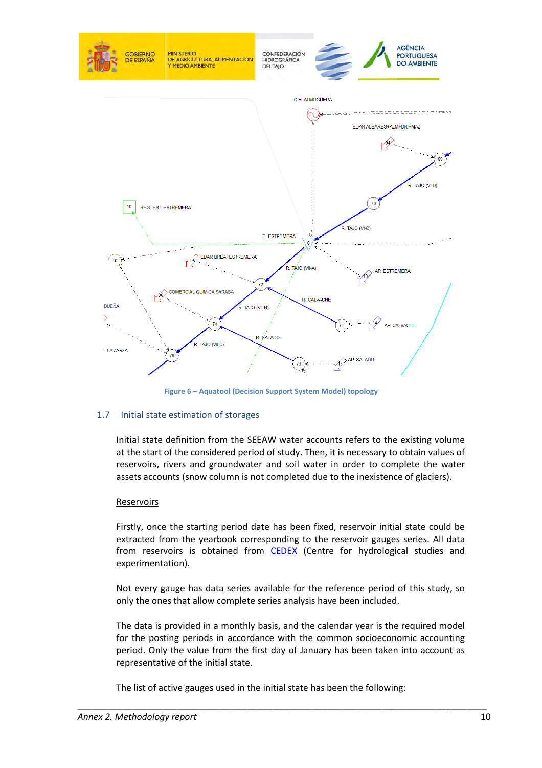

**Figure 6 – – Aquatool (Decision Support System Model) topology**

#### 1.7 Initial state estimation of storages

Initial state definition from the SEEAW water accounts refers to the existing volume at the start of the considered period of study. Then, it is necessary to obtain values of reservoirs, rivers and groundwater and soil water in order to complete the water assets accounts (snow column is not completed due to the inexistence of glaciers). mitial state definition from the SEEAW water accounts refers to the existing<br>at the start of the considered period of study. Then, it is necessary to obtain v<br>eservoirs, rivers and groundwater and soil water in order to co

#### Reservoirs

Firstly, once the starting period date has been fixed, reservoir initial state could be extracted from the yearbook corresponding to the reservoir gauges series. All data from reservoirs is obtained from **CEDEX** (Centre for hydrological studies and experimentation).

Not every gauge has data series available for the reference period of this study, so only the ones that allow complete series analysis have been included.

The data is provided in a monthly basis, and the calendar year is the required model for the posting periods in accordance with the common socioeconomic accounting period. Only the value from the first day of January has been taken into account as representative of the initial state.

\_\_\_\_\_\_\_\_\_\_\_\_\_\_\_\_\_\_\_\_\_\_\_\_\_\_\_\_\_\_\_\_\_\_\_\_\_\_\_\_\_\_\_\_

The list of active gauges used in the initial state has been the following: \_\_\_\_\_\_\_\_\_\_\_\_\_\_\_\_\_\_\_\_\_\_\_\_\_\_\_\_\_\_\_\_\_\_\_\_\_\_\_\_\_\_\_\_\_\_\_\_\_\_\_\_\_\_\_\_\_\_\_\_\_\_\_\_\_\_\_\_\_\_\_\_\_\_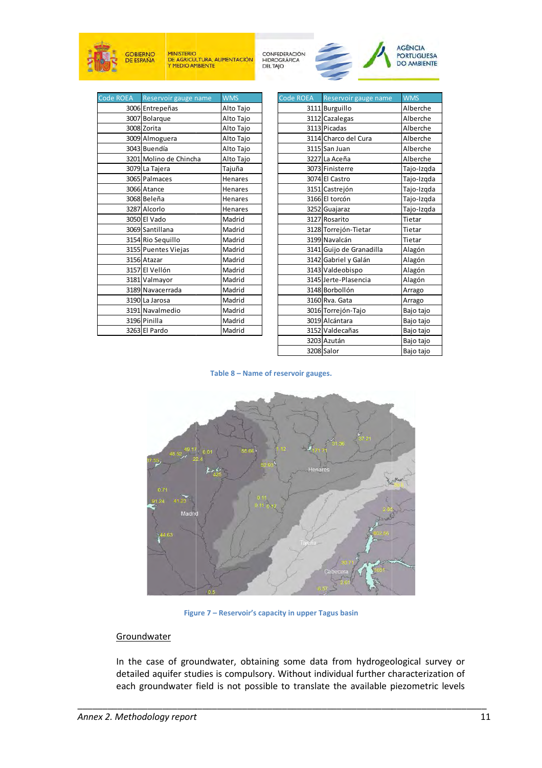





| Code ROEA Reservoir gauge name | <b>WMS</b>     |  |  |
|--------------------------------|----------------|--|--|
| 3006 Entrepeñas                | Alto Tajo      |  |  |
| 3007 Bolarque                  | Alto Tajo      |  |  |
| 3008 Zorita                    | Alto Tajo      |  |  |
| 3009 Almoguera                 | Alto Tajo      |  |  |
| 3043 Buendía                   | Alto Tajo      |  |  |
| 3201 Molino de Chincha         | Alto Tajo      |  |  |
| 3079 La Tajera                 | Tajuña         |  |  |
| 3065 Palmaces                  | Henares        |  |  |
| 3066 Atance                    | Henares        |  |  |
| 3068 Beleña                    | Henares        |  |  |
| 3287 Alcorlo                   | <b>Henares</b> |  |  |
| 3050 El Vado                   | Madrid         |  |  |
| 3069 Santillana                | Madrid         |  |  |
| 3154 Rio Sequillo              | Madrid         |  |  |
| 3155 Puentes Viejas            | Madrid         |  |  |
| 3156 Atazar                    | Madrid         |  |  |
| 3157 El Vellón                 | Madrid         |  |  |
| 3181 Valmayor                  | Madrid         |  |  |
| 3189 Navacerrada               | Madrid         |  |  |
| 3190 La Jarosa                 | Madrid         |  |  |
| 3191 Navalmedio                | Madrid         |  |  |
| 3196 Pinilla                   | Madrid         |  |  |
| 3263 El Pardo                  | Madrid         |  |  |

| me | <b>WMS</b>     | Code ROEA | Reservoir gauge name     | <b>WMS</b> |
|----|----------------|-----------|--------------------------|------------|
|    | Alto Tajo      |           | 3111 Burguillo           | Alberche   |
|    | Alto Tajo      |           | 3112 Cazalegas           | Alberche   |
|    | Alto Tajo      |           | 3113 Picadas             | Alberche   |
|    | Alto Tajo      |           | 3114 Charco del Cura     | Alberche   |
|    | Alto Tajo      |           | 3115 San Juan            | Alberche   |
|    | Alto Tajo      |           | 3227 La Aceña            | Alberche   |
|    | Tajuña         |           | 3073 Finisterre          | Tajo-Izqda |
|    | Henares        |           | 3074 El Castro           | Tajo-Izqda |
|    | <b>Henares</b> |           | 3151 Castrejón           | Tajo-Izqda |
|    | <b>Henares</b> |           | 3166 El torcón           | Tajo-Izqda |
|    | Henares        |           | 3252 Guajaraz            | Tajo-Izqda |
|    | Madrid         |           | 3127 Rosarito            | Tietar     |
|    | Madrid         |           | 3128 Torrejón-Tietar     | Tietar     |
|    | Madrid         |           | 3199 Navalcán            | Tietar     |
|    | Madrid         |           | 3141 Guijo de Granadilla | Alagón     |
|    | Madrid         |           | 3142 Gabriel y Galán     | Alagón     |
|    | Madrid         |           | 3143 Valdeobispo         | Alagón     |
|    | Madrid         |           | 3145 Jerte-Plasencia     | Alagón     |
|    | Madrid         |           | 3148 Borbollón           | Arrago     |
|    | Madrid         |           | 3160 Rva. Gata           | Arrago     |
|    | Madrid         |           | 3016 Torrejón-Tajo       | Bajo tajo  |
|    | Madrid         |           | 3019 Alcántara           | Bajo tajo  |
|    | Madrid         |           | 3152 Valdecañas          | Bajo tajo  |
|    |                |           | 3203 Azután              | Bajo tajo  |
|    |                |           | 3208 Salor               | Bajo tajo  |

**Table 8 – Name of reservoir gauges.**



**Figure Figure 7 – Reservoir's capacity in upper Tagus basin**

\_\_\_\_\_\_\_\_\_\_\_\_\_\_\_\_\_\_\_\_\_\_\_\_\_\_\_\_\_\_\_\_\_\_\_\_\_\_\_\_\_\_\_\_\_\_\_\_\_\_\_\_\_\_\_\_\_\_\_\_\_\_\_\_\_\_\_\_\_\_\_\_\_\_

#### **Groundwater**

In the case of groundwater, obtaining some data from hydrogeological survey or detailed aquifer studies is compulsory. Without individual further characterization of each groundwater field is not possible to translate the available piezometric levels

\_\_\_\_\_\_\_\_\_\_\_\_\_\_\_\_\_\_\_\_\_\_\_\_\_\_\_\_\_\_\_\_\_\_\_\_\_\_\_\_\_\_\_\_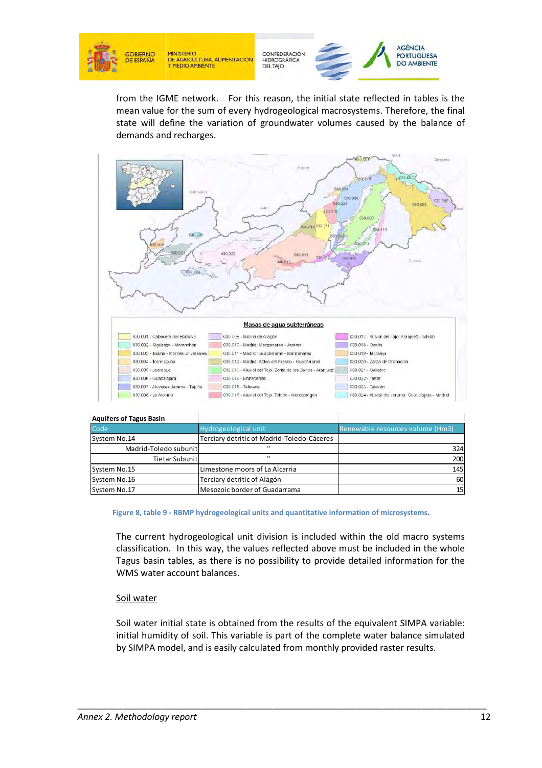

CONFEDERACIÓN **HIDROGRÁFICA** 



from the IGME network. For this reason, the initial state reflected in tables is the mean value for the sum of every hydrogeological macrosystems. Therefore, the final state will define the variation of groundwater volumes caused by the balance of demands and recharges.



| <b>Aquifers of Tagus Basin</b>            |                                                                                                                                                                                                                                                                      |                                  |  |  |
|-------------------------------------------|----------------------------------------------------------------------------------------------------------------------------------------------------------------------------------------------------------------------------------------------------------------------|----------------------------------|--|--|
| Code                                      | Hydrogeological unit                                                                                                                                                                                                                                                 | Renewable resources volume (Hm3) |  |  |
| System No.14                              | Terciary detritic of Madrid-Toledo-Cáceres                                                                                                                                                                                                                           |                                  |  |  |
| Madrid-Toledo subunit                     |                                                                                                                                                                                                                                                                      | 324                              |  |  |
| <b>Tietar Subunit</b>                     | H.                                                                                                                                                                                                                                                                   | 200                              |  |  |
| System No.15                              | Limestone moors of La Alcarria                                                                                                                                                                                                                                       | 145                              |  |  |
| System No.16                              | Terciary detritic of Alagón                                                                                                                                                                                                                                          | 60                               |  |  |
| System No.17                              | Mesozoic border of Guadarrama                                                                                                                                                                                                                                        | 15                               |  |  |
| WMS water account balances.<br>Soil water | classification. In this way, the values reflected above must be included in the whole<br>Tagus basin tables, as there is no possibility to provide detailed information for the                                                                                      |                                  |  |  |
|                                           | Soil water initial state is obtained from the results of the equivalent SIMPA variable:<br>initial humidity of soil. This variable is part of the complete water balance simulated<br>by SIMPA model, and is easily calculated from monthly provided raster results. |                                  |  |  |

#### **Figure 8, table 9 - RBMP hydrogeological units and quantitative information of microsystems.**

#### Soil water

\_\_\_\_\_\_\_\_\_\_\_\_\_\_\_\_\_\_\_\_\_\_\_\_\_\_\_\_\_\_\_\_\_\_\_\_\_\_\_\_\_\_\_\_

\_\_\_\_\_\_\_\_\_\_\_\_\_\_\_\_\_\_\_\_\_\_\_\_\_\_\_\_\_\_\_\_\_\_\_\_\_\_\_\_\_\_\_\_\_\_\_\_\_\_\_\_\_\_\_\_\_\_\_\_\_\_\_\_\_\_\_\_\_\_\_\_\_\_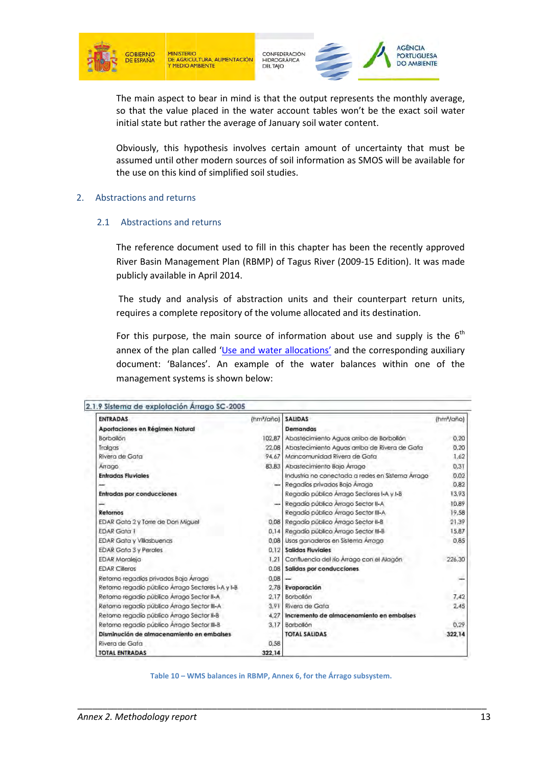

CONFEDERACIÓN HIDROGRÁFICA **DEL TAJO** 



The main aspect to bear in mind is that the output represents the monthly average, so that the value placed in the water account tables won't be the exact soil water initial state but rather the average of January soil water content.

Obviously, this hypothesis involves certain amount of uncertainty that must be assumed until other modern sources of soil information as SMOS will be available for the use on this kind of simplified soil studies.

#### 2. Abstractions and returns

#### 2.1 Abstractions and returns

The reference document used to fill in this chapter has been the recently approved River Basin Management Plan (RBMP) of Tagus River (2009-15 Edition). It was made publicly available in April 2014. 2014.

 The study and anal analysis of abstraction units and their counterpart return units, requires a complete repository of the volume allocated and its destination.

For this purpose, the main source of information about use and supply is the  $6<sup>th</sup>$ annex of the plan called 'Use and water allocations' and the corresponding auxiliary document: 'Balances'. An example of the water balances within one of the management systems is shown below:

| <b>ENTRADAS</b>                                   | (hm <sup>3</sup> /gño) | <b>SALIDAS</b>                                   | (hm <sup>3</sup> /año) |
|---------------------------------------------------|------------------------|--------------------------------------------------|------------------------|
| Aportaciones en Régimen Natural                   |                        | Demandas                                         |                        |
| Borbollón                                         | 102.87                 | Abastecimiento Aguas arriba de Borbollón         | 0.20                   |
| Tralgas                                           | 22.08                  | Abastecimiento Aguas arriba de Rivera de Gata    | 0.20                   |
| Rivera de Gata                                    | 94.67                  | Mancomunidad Rivera de Gata                      | 1.62                   |
| Arrago                                            | 83.83                  | Abastecimiento Bajo Arrago                       | 0.31                   |
| <b>Entradas Fluviales</b>                         |                        | Industria no conectada a redes en Sistema Arrago | 0.02                   |
|                                                   |                        | Regadíos privados Bajo Arrago                    | 0.82                   |
| <b>Entradas por conducciones</b>                  |                        | Regadio público Árrago Sectores I-A y I-B        | 13.93                  |
|                                                   |                        | Regadío público Arrago Sector II-A               | 10.89                  |
| Refornos                                          |                        | Regadío público Árrago Sector III-A              | 19.58                  |
| EDAR Gata 2 y Torre de Don Miguel                 | 0.08                   | Regadío público Árrago Sector II-B               | 21.39                  |
| EDAR Gata T                                       | 0.14                   | Regadío público Arrago Sector III-B              | 15.87                  |
| <b>EDAR Gata y Villasbuenas</b>                   | 0.08                   | Usos ganaderos en Sistema Arrago                 | 0,85                   |
| <b>EDAR Gata 3 y Perales</b>                      | 0.12                   | Salidas Fluviales                                |                        |
| <b>EDAR Moraleja</b>                              | 1.21                   | Confluencia del río Arrago con el Alagón         | 226.30                 |
| <b>EDAR Cilleros</b>                              | 0.08                   | Salidas por conducciones.                        |                        |
| Retorno regadios privados Bajo Arrago             | 0.08                   |                                                  |                        |
| Retorno regadio público Árrago Sectores I-A y I-B | 2.78                   | Evaporación                                      |                        |
| Retorno regadio público Arrago Sector II-A        | 2.17                   | Borbollón                                        | 7,42                   |
| Retorno regadío público Árrago Sector III-A       | 3.91                   | Rivera de Gata                                   | 2,45                   |
| Retorno regadio público Árrago Sector II-B        | 4,27                   | Incremento de almacenamiento en embalses         |                        |
| Retorno regadio público Árrago Sector III-B       | 3.17                   | Borbollón                                        | 0.29                   |
| Disminución de almacenamiento en embalses         |                        | <b>TOTAL SALIDAS</b>                             | 322,14                 |
| Rivera de Gata                                    | 0.58                   |                                                  |                        |
| <b>TOTAL ENTRADAS</b>                             | 322,14                 |                                                  |                        |

**Table 10 – WMS balances in RBMP, Annex 6, for the Árrago subsystem.**

\_\_\_\_\_\_\_\_\_\_\_\_\_\_\_\_\_\_\_\_\_\_\_\_\_\_\_\_\_\_\_\_\_\_\_\_\_\_\_\_\_\_\_\_\_\_\_\_\_\_\_\_\_\_\_\_\_\_\_\_\_\_\_\_\_\_\_\_\_\_\_\_\_\_

\_\_\_\_\_\_\_\_\_\_\_\_\_\_\_\_\_\_\_\_\_\_\_\_\_\_\_\_\_\_\_\_\_\_\_\_\_\_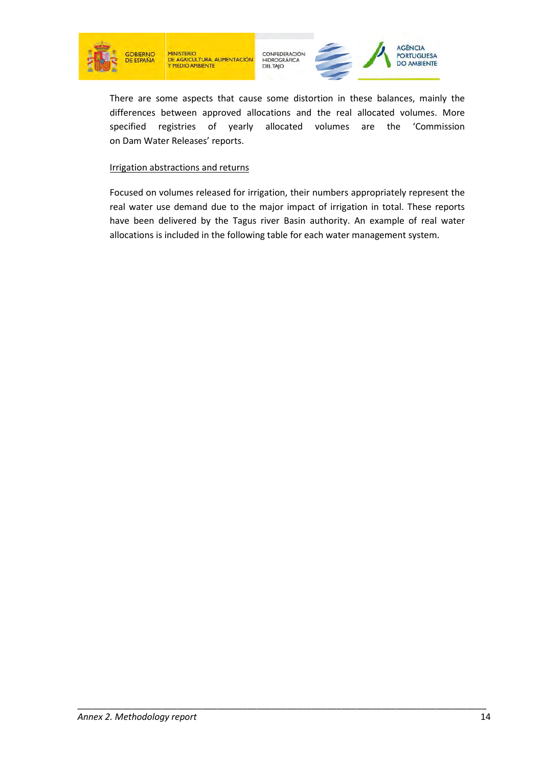





There are some aspects that cause some distortion in these balances, mainly the differences between approved allocations and the real allocated volumes. More specified registries of yearly allocated volumes are the 'Commission on Dam Water Releases' reports.

#### Irrigation abstractions and returns

Focused on volumes released for irrigation, their numbers appropriately represent the real water use demand due to the major impact of irrigation in total. These reports have been delivered by the Tagus river Basin authority. An example of real water allocations is included in the following table for each water management system.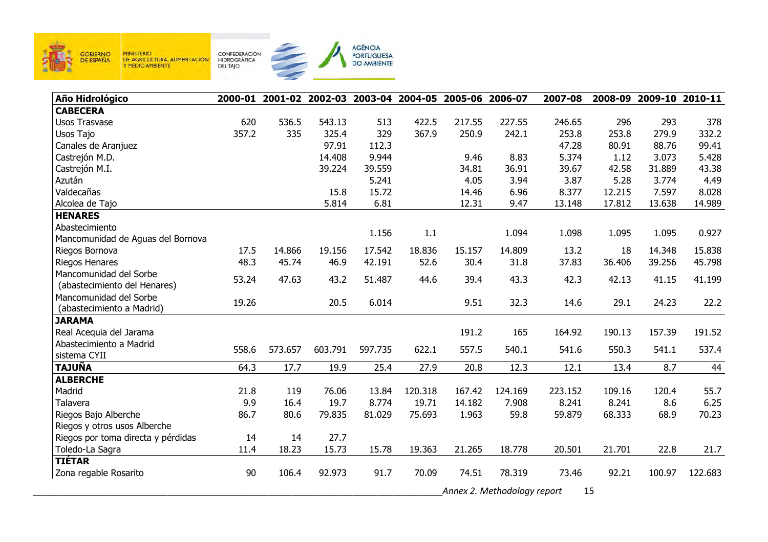

| Año Hidrológico                    |       |         |         |         |         | 2000-01 2001-02 2002-03 2003-04 2004-05 2005-06 2006-07 |                             | 2007-08 | 2008-09 | 2009-10 2010-11 |         |
|------------------------------------|-------|---------|---------|---------|---------|---------------------------------------------------------|-----------------------------|---------|---------|-----------------|---------|
| <b>CABECERA</b>                    |       |         |         |         |         |                                                         |                             |         |         |                 |         |
| <b>Usos Trasvase</b>               | 620   | 536.5   | 543.13  | 513     | 422.5   | 217.55                                                  | 227.55                      | 246.65  | 296     | 293             | 378     |
| Usos Tajo                          | 357.2 | 335     | 325.4   | 329     | 367.9   | 250.9                                                   | 242.1                       | 253.8   | 253.8   | 279.9           | 332.2   |
| Canales de Aranjuez                |       |         | 97.91   | 112.3   |         |                                                         |                             | 47.28   | 80.91   | 88.76           | 99.41   |
| Castrejón M.D.                     |       |         | 14.408  | 9.944   |         | 9.46                                                    | 8.83                        | 5.374   | 1.12    | 3.073           | 5.428   |
| Castrejón M.I.                     |       |         | 39.224  | 39.559  |         | 34.81                                                   | 36.91                       | 39.67   | 42.58   | 31.889          | 43.38   |
| Azután                             |       |         |         | 5.241   |         | 4.05                                                    | 3.94                        | 3.87    | 5.28    | 3.774           | 4.49    |
| Valdecañas                         |       |         | 15.8    | 15.72   |         | 14.46                                                   | 6.96                        | 8.377   | 12.215  | 7.597           | 8.028   |
| Alcolea de Tajo                    |       |         | 5.814   | 6.81    |         | 12.31                                                   | 9.47                        | 13.148  | 17.812  | 13.638          | 14.989  |
| <b>HENARES</b>                     |       |         |         |         |         |                                                         |                             |         |         |                 |         |
| Abastecimiento                     |       |         |         | 1.156   | 1.1     |                                                         | 1.094                       | 1.098   | 1.095   | 1.095           | 0.927   |
| Mancomunidad de Aguas del Bornova  |       |         |         |         |         |                                                         |                             |         |         |                 |         |
| Riegos Bornova                     | 17.5  | 14.866  | 19.156  | 17.542  | 18.836  | 15.157                                                  | 14.809                      | 13.2    | 18      | 14.348          | 15.838  |
| Riegos Henares                     | 48.3  | 45.74   | 46.9    | 42.191  | 52.6    | 30.4                                                    | 31.8                        | 37.83   | 36.406  | 39.256          | 45.798  |
| Mancomunidad del Sorbe             | 53.24 | 47.63   | 43.2    | 51.487  | 44.6    | 39.4                                                    | 43.3                        | 42.3    | 42.13   | 41.15           | 41.199  |
| (abastecimiento del Henares)       |       |         |         |         |         |                                                         |                             |         |         |                 |         |
| Mancomunidad del Sorbe             | 19.26 |         | 20.5    | 6.014   |         | 9.51                                                    | 32.3                        | 14.6    | 29.1    | 24.23           | 22.2    |
| (abastecimiento a Madrid)          |       |         |         |         |         |                                                         |                             |         |         |                 |         |
| <b>JARAMA</b>                      |       |         |         |         |         |                                                         |                             |         |         |                 |         |
| Real Acequia del Jarama            |       |         |         |         |         | 191.2                                                   | 165                         | 164.92  | 190.13  | 157.39          | 191.52  |
| Abastecimiento a Madrid            | 558.6 | 573.657 | 603.791 | 597.735 | 622.1   | 557.5                                                   | 540.1                       | 541.6   | 550.3   | 541.1           | 537.4   |
| sistema CYII                       |       |         |         |         |         |                                                         |                             |         |         |                 |         |
| <b>TAJUÑA</b>                      | 64.3  | 17.7    | 19.9    | 25.4    | 27.9    | 20.8                                                    | 12.3                        | 12.1    | 13.4    | 8.7             | 44      |
| <b>ALBERCHE</b>                    |       |         |         |         |         |                                                         |                             |         |         |                 |         |
| Madrid                             | 21.8  | 119     | 76.06   | 13.84   | 120.318 | 167.42                                                  | 124.169                     | 223.152 | 109.16  | 120.4           | 55.7    |
| Talavera                           | 9.9   | 16.4    | 19.7    | 8.774   | 19.71   | 14.182                                                  | 7.908                       | 8.241   | 8.241   | 8.6             | 6.25    |
| Riegos Bajo Alberche               | 86.7  | 80.6    | 79.835  | 81.029  | 75.693  | 1.963                                                   | 59.8                        | 59.879  | 68.333  | 68.9            | 70.23   |
| Riegos y otros usos Alberche       |       |         |         |         |         |                                                         |                             |         |         |                 |         |
| Riegos por toma directa y pérdidas | 14    | 14      | 27.7    |         |         |                                                         |                             |         |         |                 |         |
| Toledo-La Sagra                    | 11.4  | 18.23   | 15.73   | 15.78   | 19.363  | 21.265                                                  | 18.778                      | 20.501  | 21.701  | 22.8            | 21.7    |
| <b>TIÉTAR</b>                      |       |         |         |         |         |                                                         |                             |         |         |                 |         |
| Zona regable Rosarito              | 90    | 106.4   | 92.973  | 91.7    | 70.09   | 74.51                                                   | 78.319                      | 73.46   | 92.21   | 100.97          | 122.683 |
|                                    |       |         |         |         |         |                                                         | Annex 2. Methodology report |         | 15      |                 |         |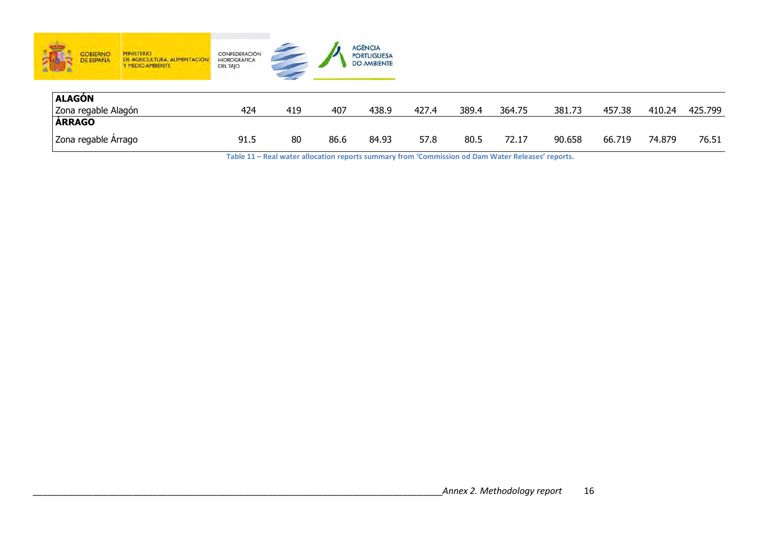| <b>GOBIERNO</b><br><b>DE ESPAÑA</b><br><b>STOPS</b> | <b>MINISTERIO</b><br>DE AGRICULTURA, ALIMENTACIÓN<br>Y MEDIO AMBIENTE | CONFEDERACIÓN<br><b>HIDROGRÁFICA</b><br><b>DELTAJO</b> |     |      | <b>AGÊNCIA</b><br><b>PORTUGUESA</b><br><b>DO AMBIENTE</b> |       |       |        |        |        |        |         |
|-----------------------------------------------------|-----------------------------------------------------------------------|--------------------------------------------------------|-----|------|-----------------------------------------------------------|-------|-------|--------|--------|--------|--------|---------|
| ALAGÓN                                              |                                                                       |                                                        |     |      |                                                           |       |       |        |        |        |        |         |
| Zona regable Alagón                                 |                                                                       | 424                                                    | 419 | 407  | 438.9                                                     | 427.4 | 389.4 | 364.75 | 381.73 | 457.38 | 410.24 | 425.799 |
| <b>ÁRRAGO</b>                                       |                                                                       |                                                        |     |      |                                                           |       |       |        |        |        |        |         |
| Zona regable Árrago                                 |                                                                       | 91.5                                                   | 80  | 86.6 | 84.93                                                     | 57.8  | 80.5  | 72.17  | 90.658 | 66.719 | 74.879 | 76.51   |

 **Table 11 – Real water allocation reports summary from 'Commission od Dam Water Releases' reports.**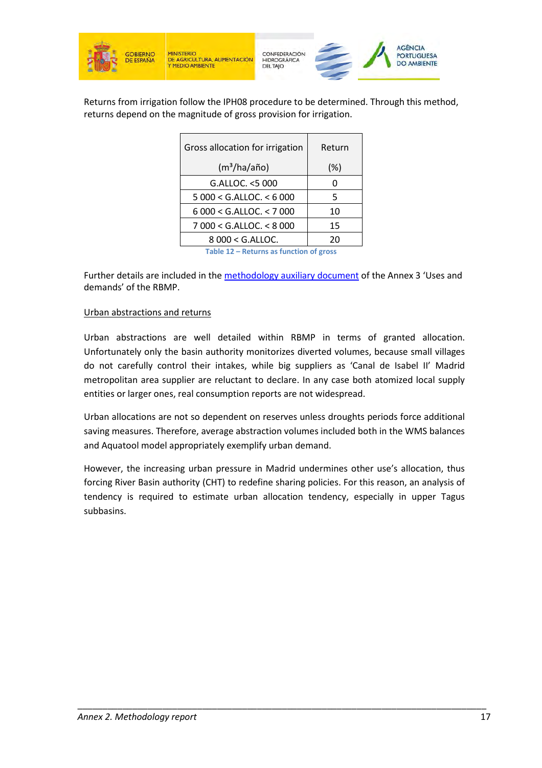

Returns from irrigation follow the IPH08 procedure to be determined. Through this method, returns depend on the magnitude of gross provision for irrigation.

| Gross allocation for irrigation         | Return |  |  |  |  |
|-----------------------------------------|--------|--|--|--|--|
| (m <sup>3</sup> /ha/año)                | $(\%)$ |  |  |  |  |
| G.ALLOC. < 5000                         | O      |  |  |  |  |
| $5000 <$ G.ALLOC. $<$ 6 000             | 5      |  |  |  |  |
| $6000 <$ G.ALLOC. $<$ 7000              | 10     |  |  |  |  |
| 7 000 < G.ALLOC. < 8 000                | 15     |  |  |  |  |
| $8000 <$ G.ALLOC.                       | 20     |  |  |  |  |
| Table 12 – Returns as function of gross |        |  |  |  |  |

Further details are included in the methodology auxiliary document of the Annex 3 'Uses and demands' of the RBMP.

#### Urban abstractions and returns

Urban abstractions are well detailed within RBMP in terms of granted allocation. Unfortunately only the basin authority monitorizes diverted volumes, because small villages do not carefully control their intakes, while big suppliers as 'Canal de Isabel II' Madrid metropolitan area supplier are reluctant to declare. In any case both atomized local supply entities or larger ones, real consumption reports are not widespread.

Urban allocations are not so dependent on reserves unless droughts periods force additional saving measures. Therefore, average abstraction volumes included both in the WMS balances and Aquatool model appropriately exemplify urban demand.

However, the increasing urban pressure in Madrid undermines other use's allocation, thus forcing River Basin authority (CHT) to redefine sharing policies. For this reason, an analysis of tendency is required to estimate urban allocation tendency, especially in upper Tagus subbasins.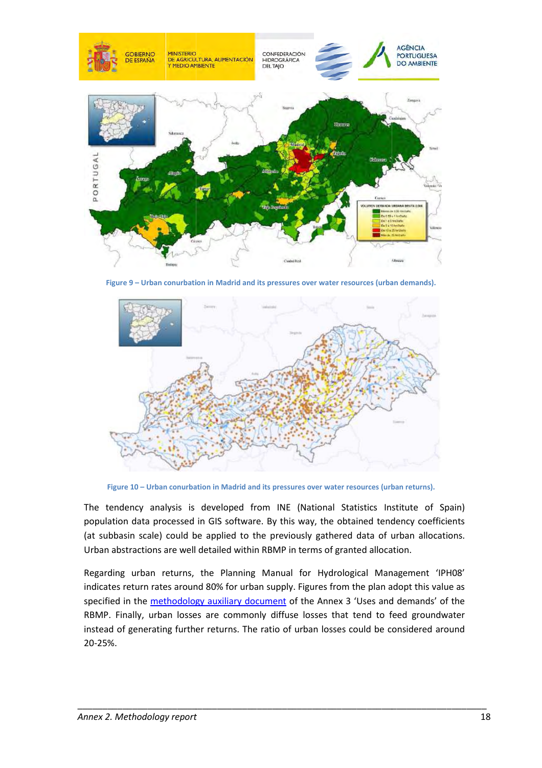

**Figure 9 – Urban conurbation in Madrid and its pressures over water resources (urban demands).**



Figure 10 - Urban conurbation in Madrid and its pressures over water resources (urban returns).

The tendency analysis is developed from INE (National Statistics Institute of Spain) population data processed in GIS software. By this way, the obtained tendency coefficients population data processed in GIS software. By this way, the obtained tendency coefficients<br>(at subbasin scale) could be applied to the previously gathered data of urban allocations. Urban abstractions are well detailed within RBMP in terms of granted allocation.

Regarding urban returns, the Planning Manual for Hydrological Management 'IPH08' indicates return rates around 80% for urban supply. Figures from the plan adopt this value as specified in the **methodology auxiliary document** of the Annex 3 'Uses and demands' of the RBMP. Finally, urban losses are commonly diffuse losses that tend to feed groundwater instead of generating further returns. The ratio of urban losses could be considered around 20-25%.

\_\_\_\_\_\_\_\_\_\_\_\_\_\_\_\_\_\_\_\_\_\_\_\_\_\_\_\_\_\_\_\_\_\_\_\_\_\_\_\_\_\_\_\_\_\_\_\_\_\_\_\_\_\_\_\_\_\_\_\_\_\_\_\_\_\_\_\_\_\_\_\_\_\_

\_\_\_\_\_\_\_\_\_\_\_\_\_\_\_\_\_\_\_\_\_\_\_\_\_\_\_\_\_\_\_\_\_\_\_\_\_\_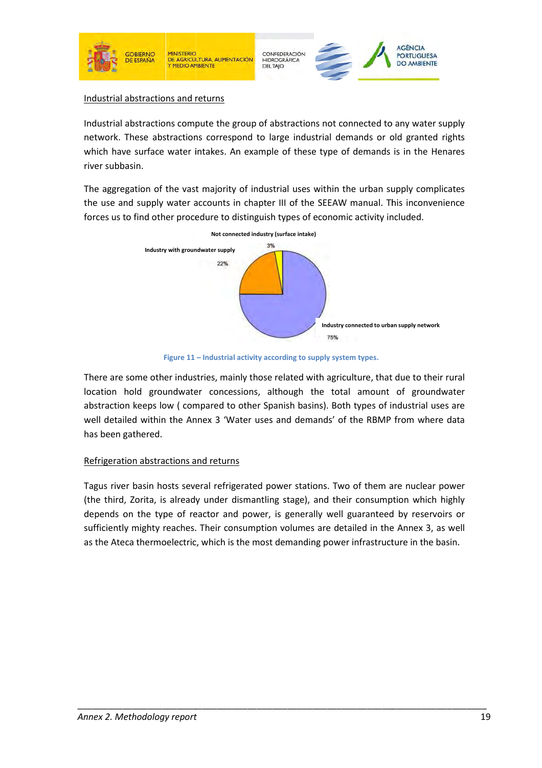

#### Industrial abstractions and returns

Industrial abstractions compute the group of abstractions not connected to any water supply<br>network. These abstractions correspond to large industrial demands or old granted rights network. These abstractions correspond to large industrial demands or old which have surface water intakes. An example of these type of demands is in the Henares river subbasin.

The aggregation of the vast majority of industrial uses within the urban supply complicates the use and supply water accounts in chapter III of the SEEAW manual. This inconvenience forces us to find other procedure to distinguish types of economic activity included.



**Figure 11 – Industrial activity according to supply system types.** 

There are some other industries, mainly those related with agriculture, that due to their rural location hold groundwater concessions, although the total amount of groundwater abstraction keeps low ( compared to other Spanish basins) basins). Both types of industrial uses are well detailed within the Annex 3 'Water uses and demands' of the RBMP from where data has been gathered.

### Refrigeration abstractions and returns

Tagus river basin hosts several refrigerated power stations. Two of them are nuclear power (the third, Zorita, is already under dismantling stage), and their consumption which highly depends on the type of reactor and power, is generally well guaranteed by reservoirs or sufficiently mighty reaches. Their consumption volumes are detailed in the Annex 3, as well as the Ateca thermoelectric, which is the most demanding power infrastructure in the basin.

\_\_\_\_\_\_\_\_\_\_\_\_\_\_\_\_\_\_\_\_\_\_\_\_\_\_\_\_\_\_\_\_\_\_\_\_\_\_\_\_\_\_\_\_\_\_\_\_\_\_\_\_\_\_\_\_\_\_\_\_\_\_\_\_\_\_\_\_\_\_\_\_\_\_

\_\_\_\_\_\_\_\_\_\_\_\_\_\_\_\_\_\_\_\_\_\_\_\_\_\_\_\_\_\_\_\_\_\_\_\_\_\_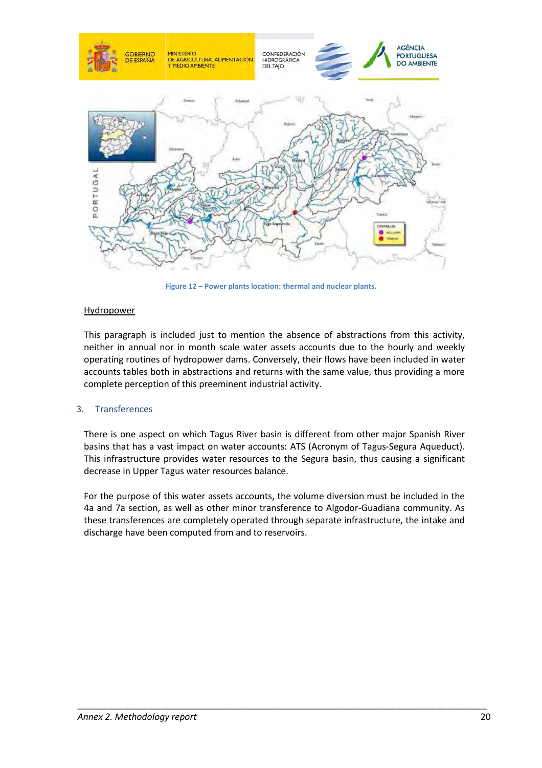

**Figure 12 – Power plants location: thermal and nuclear plants.** 

#### **Hydropower**

This paragraph is included just to mention the absence of abstractions from this activity, neither in annual nor in month scale water assets accounts due to the hourly and weekly operating routines of hydropower dams. Conversely, their flows have been included in water accounts tables both in abstractions and returns with the same value, thus providing a more complete perception of this preeminent industrial activity.

#### 3. Transferences

There is one aspect on which Tagus River basin is different from other major Spanish River basins that has a vast impact on water accounts: ATS (Acronym of Tagus-Segura Aqueduct). This infrastructure provides water resources to the Segura basin, thus causing a significant decrease in Upper Tagus water resources balance.

For the purpose of this water assets accounts, the volume diversion must be included in the 4a and 7a section, as well as other minor transference to Algodor-Guadiana community. As these transferences are completely operated through separate infrastructure, the intake and discharge have been computed from and to reservoirs.

\_\_\_\_\_\_\_\_\_\_\_\_\_\_\_\_\_\_\_\_\_\_\_\_\_\_\_\_\_\_\_\_\_\_\_\_\_\_\_\_\_\_\_\_\_\_\_\_\_\_\_\_\_\_\_\_\_\_\_\_\_\_\_\_\_\_\_\_\_\_\_\_\_\_

\_\_\_\_\_\_\_\_\_\_\_\_\_\_\_\_\_\_\_\_\_\_\_\_\_\_\_\_\_\_\_\_\_\_\_\_\_\_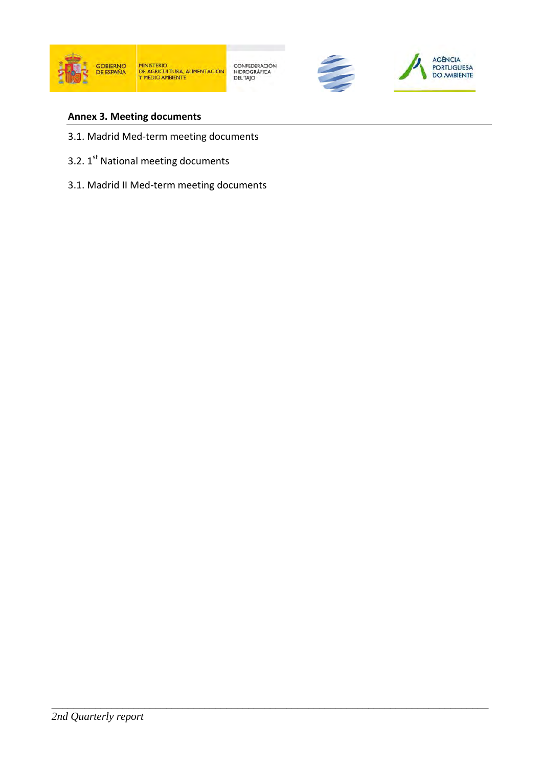

CONFEDERACIÓN<br>HIDROGRÁFICA<br>DEL TAJO

\_\_\_\_\_\_\_\_\_\_\_\_\_\_\_\_\_\_\_\_\_\_\_\_\_\_\_\_\_\_\_\_\_\_\_\_\_\_\_\_\_\_\_\_\_\_\_\_\_\_\_\_\_\_\_\_\_\_\_\_\_\_\_\_\_\_\_\_\_\_\_\_\_\_\_\_\_\_\_\_





### **Annex 3. Meeting documents**

- 3.1. Madrid Med-term meeting documents
- 3.2. 1<sup>st</sup> National meeting documents
- 3.1. Madrid II Med-term meeting documents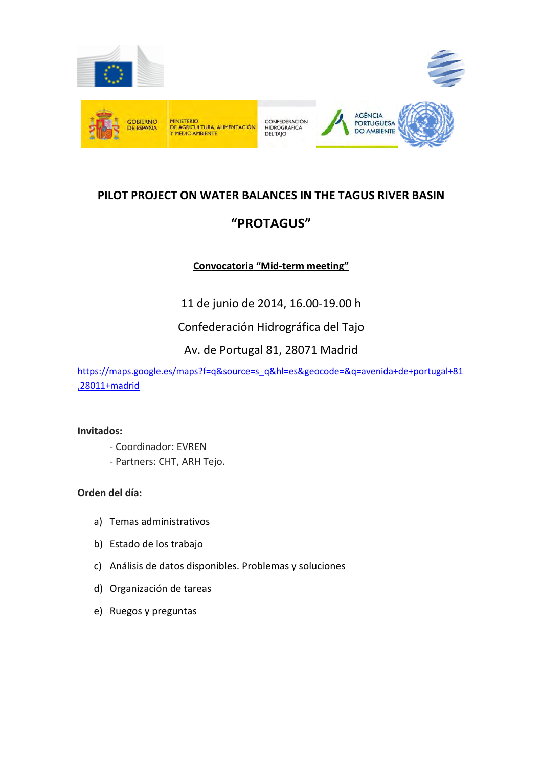

# **PILOT PROJECT ON WATER BALANCES IN THE TAGUS RIVER BASIN "PROTAGUS"**

### **Convocatoria "Mid-term meeting"**

11 de junio de 2014, 16.00-19.00 h

Confederación Hidrográfica del Tajo

### Av. de Portugal 81, 28071 Madrid

https://maps.google.es/maps?f=q&source=s\_q&hl=es&geocode=&q=avenida+de+portugal+81 ,28011+madrid

#### **Invitados:**

- Coordinador: EVREN
- Partners: CHT, ARH Tejo.

### **Orden del día:**

- a) Temas administrativos
- b) Estado de los trabajo
- c) Análisis de datos disponibles. Problemas y soluciones
- d) Organización de tareas
- e) Ruegos y preguntas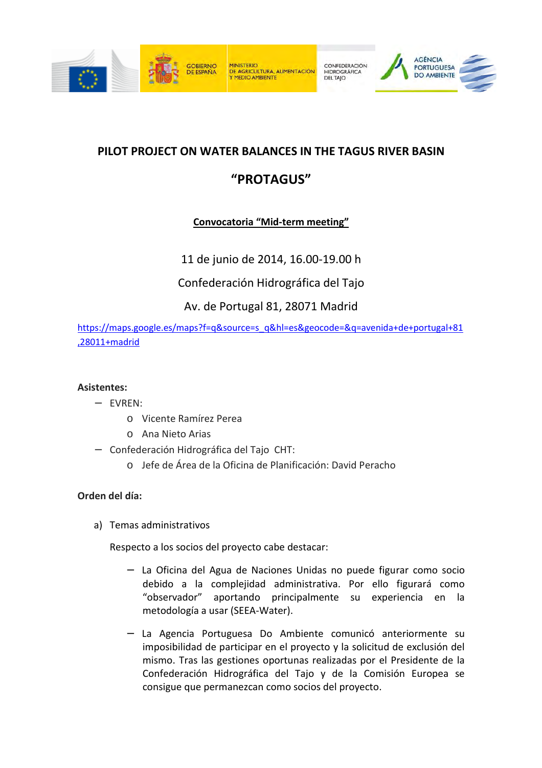



## **PILOT PROJECT ON WATER BALANCES IN THE TAGUS RIVER BASIN**

## **"PROTAGUS"**

### **Convocatoria "Mid-term meeting"**

11 de junio de 2014, 16.00-19.00 h

Confederación Hidrográfica del Tajo

Av. de Portugal 81, 28071 Madrid

https://maps.google.es/maps?f=q&source=s\_q&hl=es&geocode=&q=avenida+de+portugal+81 ,28011+madrid

### **Asistentes:**

- − EVREN:
	- o Vicente Ramírez Perea
	- o Ana Nieto Arias
- − Confederación Hidrográfica del Tajo CHT:
	- o Jefe de Área de la Oficina de Planificación: David Peracho

### **Orden del día:**

a) Temas administrativos

Respecto a los socios del proyecto cabe destacar:

- La Oficina del Agua de Naciones Unidas no puede figurar como socio debido a la complejidad administrativa. Por ello figurará como "observador" aportando principalmente su experiencia en la metodología a usar (SEEA-Water).
- − La Agencia Portuguesa Do Ambiente comunicó anteriormente su imposibilidad de participar en el proyecto y la solicitud de exclusión del mismo. Tras las gestiones oportunas realizadas por el Presidente de la Confederación Hidrográfica del Tajo y de la Comisión Europea se consigue que permanezcan como socios del proyecto.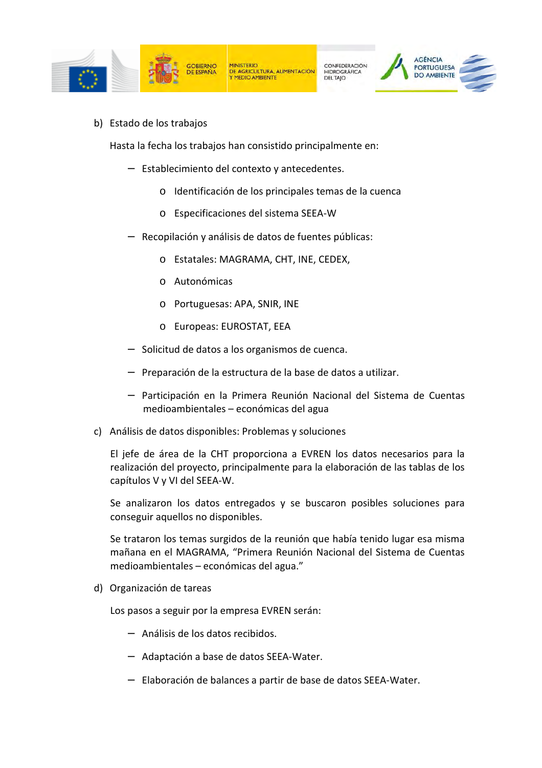

b) Estado de los trabajos

Hasta la fecha los trabajos han consistido principalmente en:

- − Establecimiento del contexto y antecedentes.
	- o Identificación de los principales temas de la cuenca
	- o Especificaciones del sistema SEEA-W
- Recopilación y análisis de datos de fuentes públicas:
	- o Estatales: MAGRAMA, CHT, INE, CEDEX,
	- o Autonómicas
	- o Portuguesas: APA, SNIR, INE
	- o Europeas: EUROSTAT, EEA
- − Solicitud de datos a los organismos de cuenca.
- − Preparación de la estructura de la base de datos a utilizar.
- − Participación en la Primera Reunión Nacional del Sistema de Cuentas medioambientales – económicas del agua
- c) Análisis de datos disponibles: Problemas y soluciones

El jefe de área de la CHT proporciona a EVREN los datos necesarios para la realización del proyecto, principalmente para la elaboración de las tablas de los capítulos V y VI del SEEA-W.

Se analizaron los datos entregados y se buscaron posibles soluciones para conseguir aquellos no disponibles.

Se trataron los temas surgidos de la reunión que había tenido lugar esa misma mañana en el MAGRAMA, "Primera Reunión Nacional del Sistema de Cuentas medioambientales – económicas del agua."

d) Organización de tareas

Los pasos a seguir por la empresa EVREN serán:

- − Análisis de los datos recibidos.
- − Adaptación a base de datos SEEA-Water.
- − Elaboración de balances a partir de base de datos SEEA-Water.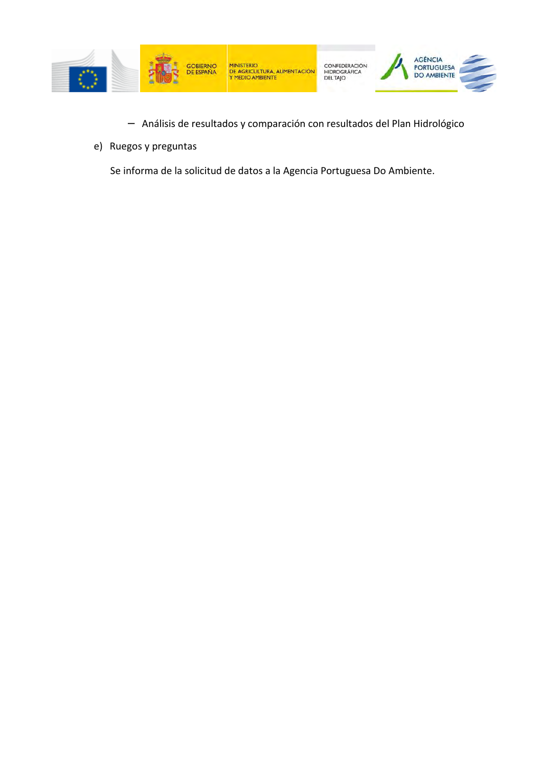

- − Análisis de resultados y comparación con resultados del Plan Hidrológico
- e) Ruegos y preguntas

Se informa de la solicitud de datos a la Agencia Portuguesa Do Ambiente.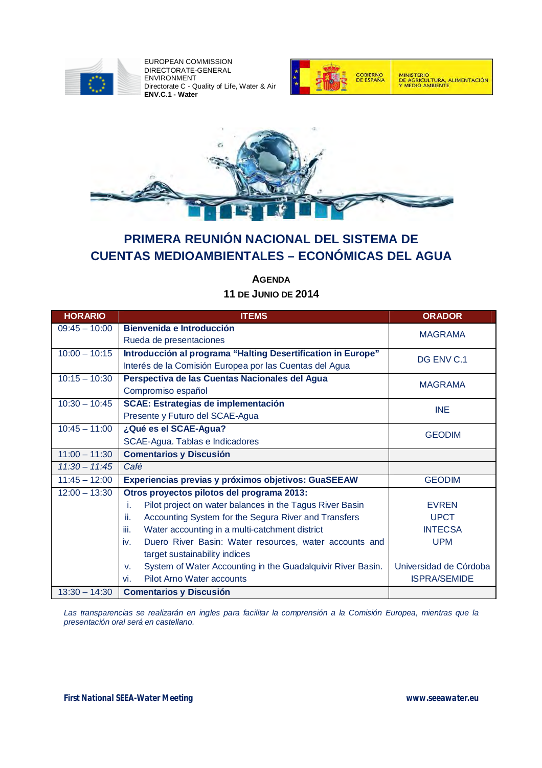

EUROPEAN COMMISSION DIRECTORATE-GENERAL ENVIRONMENT Directorate C - Quality of Life, Water & Air **ENV.C.1 - Water**





# **PRIMERA REUNIÓN NACIONAL DEL SISTEMA DE CUENTAS MEDIOAMBIENTALES – ECONÓMICAS DEL AGUA**

**AGENDA 11 DE JUNIO DE 2014**

| <b>HORARIO</b>  | <b>ITEMS</b>                                                      | <b>ORADOR</b>          |
|-----------------|-------------------------------------------------------------------|------------------------|
| $09:45 - 10:00$ | <b>Bienvenida e Introducción</b>                                  | <b>MAGRAMA</b>         |
|                 | Rueda de presentaciones                                           |                        |
| $10:00 - 10:15$ | Introducción al programa "Halting Desertification in Europe"      | DG ENV C.1             |
|                 | Interés de la Comisión Europea por las Cuentas del Agua           |                        |
| $10:15 - 10:30$ | Perspectiva de las Cuentas Nacionales del Agua                    | <b>MAGRAMA</b>         |
|                 | Compromiso español                                                |                        |
| $10:30 - 10:45$ | <b>SCAE: Estrategias de implementación</b>                        | <b>INE</b>             |
|                 | Presente y Futuro del SCAE-Agua                                   |                        |
| $10:45 - 11:00$ | ¿Qué es el SCAE-Agua?                                             | <b>GEODIM</b>          |
|                 | SCAE-Agua. Tablas e Indicadores                                   |                        |
| $11:00 - 11:30$ | <b>Comentarios y Discusión</b>                                    |                        |
| $11:30 - 11:45$ | Café                                                              |                        |
| $11:45 - 12:00$ | Experiencias previas y próximos objetivos: GuaSEEAW               | <b>GEODIM</b>          |
| $12:00 - 13:30$ | Otros proyectos pilotos del programa 2013:                        |                        |
|                 | Pilot project on water balances in the Tagus River Basin<br>i.    | <b>EVREN</b>           |
|                 | Accounting System for the Segura River and Transfers<br>ii.       | <b>UPCT</b>            |
|                 | iii.<br>Water accounting in a multi-catchment district            | <b>INTECSA</b>         |
|                 | iv.<br>Duero River Basin: Water resources, water accounts and     | <b>UPM</b>             |
|                 | target sustainability indices                                     |                        |
|                 | System of Water Accounting in the Guadalquivir River Basin.<br>v. | Universidad de Córdoba |
|                 | <b>Pilot Arno Water accounts</b><br>vi.                           | <b>ISPRA/SEMIDE</b>    |
| $13:30 - 14:30$ | <b>Comentarios y Discusión</b>                                    |                        |

*Las transparencias se realizarán en ingles para facilitar la comprensión a la Comisión Europea, mientras que la presentación oral será en castellano.*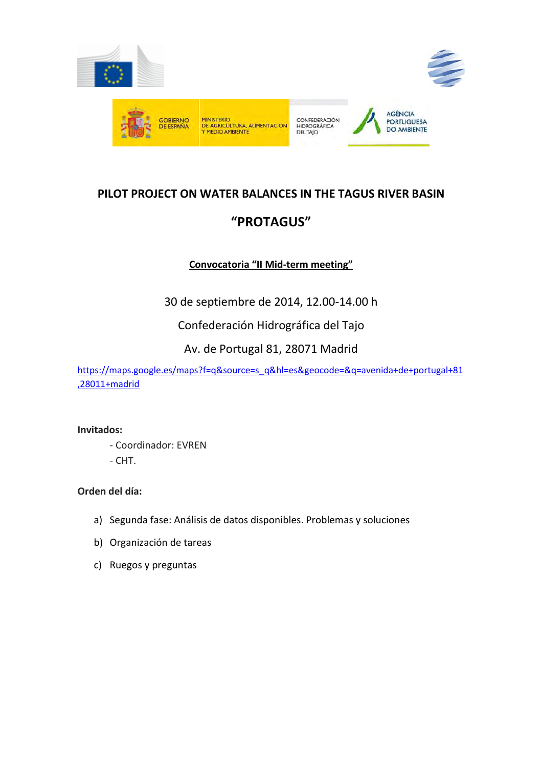

# **PILOT PROJECT ON WATER BALANCES IN THE TAGUS RIVER BASIN "PROTAGUS"**

### **Convocatoria "II Mid-term meeting"**

30 de septiembre de 2014, 12.00-14.00 h

Confederación Hidrográfica del Tajo

### Av. de Portugal 81, 28071 Madrid

https://maps.google.es/maps?f=q&source=s\_q&hl=es&geocode=&q=avenida+de+portugal+81 ,28011+madrid

#### **Invitados:**

- Coordinador: EVREN
- CHT.

### **Orden del día:**

- a) Segunda fase: Análisis de datos disponibles. Problemas y soluciones
- b) Organización de tareas
- c) Ruegos y preguntas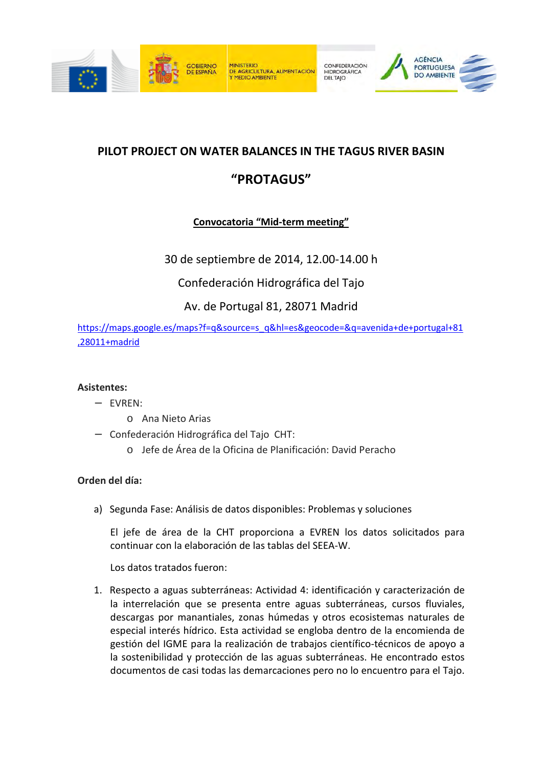



## **PILOT PROJECT ON WATER BALANCES IN THE TAGUS RIVER BASIN**

## **"PROTAGUS"**

### **Convocatoria "Mid-term meeting"**

30 de septiembre de 2014, 12.00-14.00 h

Confederación Hidrográfica del Tajo

Av. de Portugal 81, 28071 Madrid

https://maps.google.es/maps?f=q&source=s\_q&hl=es&geocode=&q=avenida+de+portugal+81 ,28011+madrid

### **Asistentes:**

- − EVREN:
	- o Ana Nieto Arias
- − Confederación Hidrográfica del Tajo CHT:
	- o Jefe de Área de la Oficina de Planificación: David Peracho

### **Orden del día:**

a) Segunda Fase: Análisis de datos disponibles: Problemas y soluciones

El jefe de área de la CHT proporciona a EVREN los datos solicitados para continuar con la elaboración de las tablas del SEEA-W.

Los datos tratados fueron:

1. Respecto a aguas subterráneas: Actividad 4: identificación y caracterización de la interrelación que se presenta entre aguas subterráneas, cursos fluviales, descargas por manantiales, zonas húmedas y otros ecosistemas naturales de especial interés hídrico. Esta actividad se engloba dentro de la encomienda de gestión del IGME para la realización de trabajos científico-técnicos de apoyo a la sostenibilidad y protección de las aguas subterráneas. He encontrado estos documentos de casi todas las demarcaciones pero no lo encuentro para el Tajo.